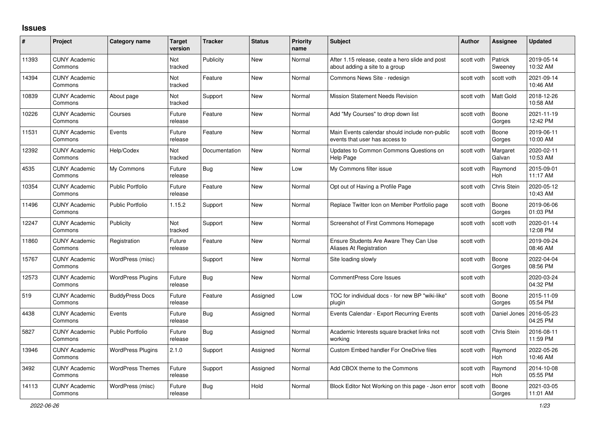## **Issues**

| #     | Project                         | Category name            | <b>Target</b><br>version | <b>Tracker</b> | <b>Status</b> | <b>Priority</b><br>name | <b>Subject</b>                                                                    | <b>Author</b> | <b>Assignee</b>       | <b>Updated</b>         |
|-------|---------------------------------|--------------------------|--------------------------|----------------|---------------|-------------------------|-----------------------------------------------------------------------------------|---------------|-----------------------|------------------------|
| 11393 | <b>CUNY Academic</b><br>Commons |                          | Not<br>tracked           | Publicity      | <b>New</b>    | Normal                  | After 1.15 release, ceate a hero slide and post<br>about adding a site to a group | scott voth    | Patrick<br>Sweeney    | 2019-05-14<br>10:32 AM |
| 14394 | <b>CUNY Academic</b><br>Commons |                          | Not<br>tracked           | Feature        | <b>New</b>    | Normal                  | Commons News Site - redesign                                                      | scott voth    | scott voth            | 2021-09-14<br>10:46 AM |
| 10839 | <b>CUNY Academic</b><br>Commons | About page               | Not<br>tracked           | Support        | <b>New</b>    | Normal                  | <b>Mission Statement Needs Revision</b>                                           | scott voth    | <b>Matt Gold</b>      | 2018-12-26<br>10:58 AM |
| 10226 | <b>CUNY Academic</b><br>Commons | Courses                  | Future<br>release        | Feature        | <b>New</b>    | Normal                  | Add "My Courses" to drop down list                                                | scott voth    | Boone<br>Gorges       | 2021-11-19<br>12:42 PM |
| 11531 | <b>CUNY Academic</b><br>Commons | Events                   | Future<br>release        | Feature        | <b>New</b>    | Normal                  | Main Events calendar should include non-public<br>events that user has access to  | scott voth    | Boone<br>Gorges       | 2019-06-11<br>10:00 AM |
| 12392 | <b>CUNY Academic</b><br>Commons | Help/Codex               | Not<br>tracked           | Documentation  | <b>New</b>    | Normal                  | Updates to Common Commons Questions on<br>Help Page                               | scott voth    | Margaret<br>Galvan    | 2020-02-11<br>10:53 AM |
| 4535  | <b>CUNY Academic</b><br>Commons | My Commons               | Future<br>release        | Bug            | <b>New</b>    | Low                     | My Commons filter issue                                                           | scott voth    | Raymond<br>Hoh        | 2015-09-01<br>11:17 AM |
| 10354 | <b>CUNY Academic</b><br>Commons | <b>Public Portfolio</b>  | Future<br>release        | Feature        | <b>New</b>    | Normal                  | Opt out of Having a Profile Page                                                  | scott voth    | Chris Stein           | 2020-05-12<br>10:43 AM |
| 11496 | <b>CUNY Academic</b><br>Commons | <b>Public Portfolio</b>  | 1.15.2                   | Support        | <b>New</b>    | Normal                  | Replace Twitter Icon on Member Portfolio page                                     | scott voth    | Boone<br>Gorges       | 2019-06-06<br>01:03 PM |
| 12247 | <b>CUNY Academic</b><br>Commons | Publicity                | Not<br>tracked           | Support        | <b>New</b>    | Normal                  | Screenshot of First Commons Homepage                                              | scott voth    | scott voth            | 2020-01-14<br>12:08 PM |
| 11860 | <b>CUNY Academic</b><br>Commons | Registration             | Future<br>release        | Feature        | <b>New</b>    | Normal                  | Ensure Students Are Aware They Can Use<br>Aliases At Registration                 | scott voth    |                       | 2019-09-24<br>08:46 AM |
| 15767 | <b>CUNY Academic</b><br>Commons | WordPress (misc)         |                          | Support        | <b>New</b>    | Normal                  | Site loading slowly                                                               | scott voth    | Boone<br>Gorges       | 2022-04-04<br>08:56 PM |
| 12573 | <b>CUNY Academic</b><br>Commons | <b>WordPress Plugins</b> | Future<br>release        | <b>Bug</b>     | <b>New</b>    | Normal                  | <b>CommentPress Core Issues</b>                                                   | scott voth    |                       | 2020-03-24<br>04:32 PM |
| 519   | <b>CUNY Academic</b><br>Commons | <b>BuddyPress Docs</b>   | Future<br>release        | Feature        | Assigned      | Low                     | TOC for individual docs - for new BP "wiki-like"<br>plugin                        | scott voth    | Boone<br>Gorges       | 2015-11-09<br>05:54 PM |
| 4438  | <b>CUNY Academic</b><br>Commons | Events                   | Future<br>release        | <b>Bug</b>     | Assigned      | Normal                  | Events Calendar - Export Recurring Events                                         | scott voth    | Daniel Jones          | 2016-05-23<br>04:25 PM |
| 5827  | <b>CUNY Academic</b><br>Commons | <b>Public Portfolio</b>  | Future<br>release        | Bug            | Assigned      | Normal                  | Academic Interests square bracket links not<br>working                            | scott voth    | Chris Stein           | 2016-08-11<br>11:59 PM |
| 13946 | <b>CUNY Academic</b><br>Commons | <b>WordPress Plugins</b> | 2.1.0                    | Support        | Assigned      | Normal                  | <b>Custom Embed handler For OneDrive files</b>                                    | scott voth    | Raymond<br><b>Hoh</b> | 2022-05-26<br>10:46 AM |
| 3492  | <b>CUNY Academic</b><br>Commons | <b>WordPress Themes</b>  | Future<br>release        | Support        | Assigned      | Normal                  | Add CBOX theme to the Commons                                                     | scott voth    | Raymond<br>Hoh        | 2014-10-08<br>05:55 PM |
| 14113 | <b>CUNY Academic</b><br>Commons | WordPress (misc)         | Future<br>release        | Bug            | Hold          | Normal                  | Block Editor Not Working on this page - Json error                                | scott voth    | Boone<br>Gorges       | 2021-03-05<br>11:01 AM |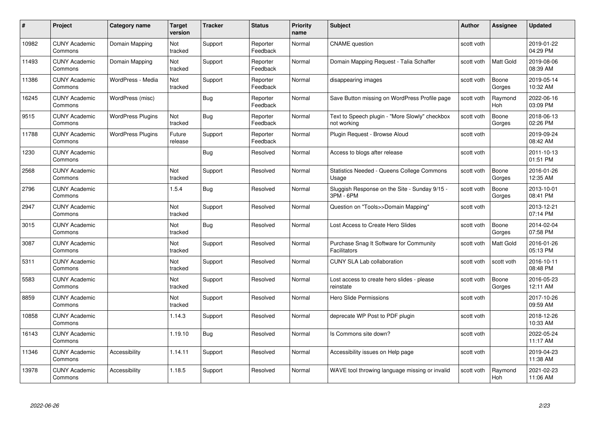| #     | Project                         | <b>Category name</b>     | Target<br>version | <b>Tracker</b> | <b>Status</b>        | <b>Priority</b><br>name | <b>Subject</b>                                                 | <b>Author</b> | <b>Assignee</b> | <b>Updated</b>         |
|-------|---------------------------------|--------------------------|-------------------|----------------|----------------------|-------------------------|----------------------------------------------------------------|---------------|-----------------|------------------------|
| 10982 | <b>CUNY Academic</b><br>Commons | Domain Mapping           | Not<br>tracked    | Support        | Reporter<br>Feedback | Normal                  | <b>CNAME</b> question                                          | scott voth    |                 | 2019-01-22<br>04:29 PM |
| 11493 | <b>CUNY Academic</b><br>Commons | Domain Mapping           | Not<br>tracked    | Support        | Reporter<br>Feedback | Normal                  | Domain Mapping Request - Talia Schaffer                        | scott voth    | Matt Gold       | 2019-08-06<br>08:39 AM |
| 11386 | <b>CUNY Academic</b><br>Commons | WordPress - Media        | Not<br>tracked    | Support        | Reporter<br>Feedback | Normal                  | disappearing images                                            | scott voth    | Boone<br>Gorges | 2019-05-14<br>10:32 AM |
| 16245 | <b>CUNY Academic</b><br>Commons | WordPress (misc)         |                   | Bug            | Reporter<br>Feedback | Normal                  | Save Button missing on WordPress Profile page                  | scott voth    | Raymond<br>Hoh  | 2022-06-16<br>03:09 PM |
| 9515  | <b>CUNY Academic</b><br>Commons | <b>WordPress Plugins</b> | Not<br>tracked    | Bug            | Reporter<br>Feedback | Normal                  | Text to Speech plugin - "More Slowly" checkbox<br>not working  | scott voth    | Boone<br>Gorges | 2018-06-13<br>02:26 PM |
| 11788 | <b>CUNY Academic</b><br>Commons | <b>WordPress Plugins</b> | Future<br>release | Support        | Reporter<br>Feedback | Normal                  | Plugin Request - Browse Aloud                                  | scott voth    |                 | 2019-09-24<br>08:42 AM |
| 1230  | <b>CUNY Academic</b><br>Commons |                          |                   | Bug            | Resolved             | Normal                  | Access to blogs after release                                  | scott voth    |                 | 2011-10-13<br>01:51 PM |
| 2568  | <b>CUNY Academic</b><br>Commons |                          | Not<br>tracked    | Support        | Resolved             | Normal                  | <b>Statistics Needed - Queens College Commons</b><br>Usage     | scott voth    | Boone<br>Gorges | 2016-01-26<br>12:35 AM |
| 2796  | <b>CUNY Academic</b><br>Commons |                          | 1.5.4             | Bug            | Resolved             | Normal                  | Sluggish Response on the Site - Sunday 9/15 -<br>3PM - 6PM     | scott voth    | Boone<br>Gorges | 2013-10-01<br>08:41 PM |
| 2947  | <b>CUNY Academic</b><br>Commons |                          | Not<br>tracked    | Support        | Resolved             | Normal                  | Question on "Tools>>Domain Mapping"                            | scott voth    |                 | 2013-12-21<br>07:14 PM |
| 3015  | CUNY Academic<br>Commons        |                          | Not<br>tracked    | Bug            | Resolved             | Normal                  | Lost Access to Create Hero Slides                              | scott voth    | Boone<br>Gorges | 2014-02-04<br>07:58 PM |
| 3087  | <b>CUNY Academic</b><br>Commons |                          | Not<br>tracked    | Support        | Resolved             | Normal                  | Purchase Snag It Software for Community<br><b>Facilitators</b> | scott voth    | Matt Gold       | 2016-01-26<br>05:13 PM |
| 5311  | <b>CUNY Academic</b><br>Commons |                          | Not<br>tracked    | Support        | Resolved             | Normal                  | <b>CUNY SLA Lab collaboration</b>                              | scott voth    | scott voth      | 2016-10-11<br>08:48 PM |
| 5583  | <b>CUNY Academic</b><br>Commons |                          | Not<br>tracked    | Support        | Resolved             | Normal                  | Lost access to create hero slides - please<br>reinstate        | scott voth    | Boone<br>Gorges | 2016-05-23<br>12:11 AM |
| 8859  | <b>CUNY Academic</b><br>Commons |                          | Not<br>tracked    | Support        | Resolved             | Normal                  | <b>Hero Slide Permissions</b>                                  | scott voth    |                 | 2017-10-26<br>09:59 AM |
| 10858 | <b>CUNY Academic</b><br>Commons |                          | 1.14.3            | Support        | Resolved             | Normal                  | deprecate WP Post to PDF plugin                                | scott voth    |                 | 2018-12-26<br>10:33 AM |
| 16143 | <b>CUNY Academic</b><br>Commons |                          | 1.19.10           | <b>Bug</b>     | Resolved             | Normal                  | Is Commons site down?                                          | scott voth    |                 | 2022-05-24<br>11:17 AM |
| 11346 | <b>CUNY Academic</b><br>Commons | Accessibility            | 1.14.11           | Support        | Resolved             | Normal                  | Accessibility issues on Help page                              | scott voth    |                 | 2019-04-23<br>11:38 AM |
| 13978 | CUNY Academic<br>Commons        | Accessibility            | 1.18.5            | Support        | Resolved             | Normal                  | WAVE tool throwing language missing or invalid                 | scott voth    | Raymond<br>Hoh  | 2021-02-23<br>11:06 AM |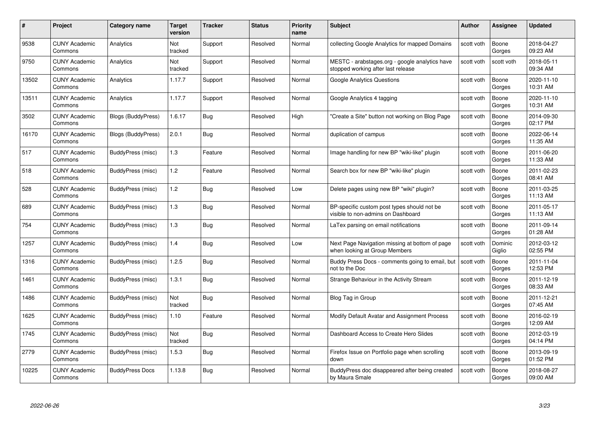| #     | Project                         | <b>Category name</b>      | Target<br>version     | <b>Tracker</b> | <b>Status</b> | <b>Priority</b><br>name | <b>Subject</b>                                                                       | <b>Author</b> | <b>Assignee</b>   | <b>Updated</b>         |
|-------|---------------------------------|---------------------------|-----------------------|----------------|---------------|-------------------------|--------------------------------------------------------------------------------------|---------------|-------------------|------------------------|
| 9538  | <b>CUNY Academic</b><br>Commons | Analytics                 | <b>Not</b><br>tracked | Support        | Resolved      | Normal                  | collecting Google Analytics for mapped Domains                                       | scott voth    | Boone<br>Gorges   | 2018-04-27<br>09:23 AM |
| 9750  | <b>CUNY Academic</b><br>Commons | Analytics                 | Not<br>tracked        | Support        | Resolved      | Normal                  | MESTC - arabstages.org - google analytics have<br>stopped working after last release | scott voth    | scott voth        | 2018-05-11<br>09:34 AM |
| 13502 | <b>CUNY Academic</b><br>Commons | Analytics                 | 1.17.7                | Support        | Resolved      | Normal                  | Google Analytics Questions                                                           | scott voth    | Boone<br>Gorges   | 2020-11-10<br>10:31 AM |
| 13511 | <b>CUNY Academic</b><br>Commons | Analytics                 | 1.17.7                | Support        | Resolved      | Normal                  | Google Analytics 4 tagging                                                           | scott voth    | Boone<br>Gorges   | 2020-11-10<br>10:31 AM |
| 3502  | CUNY Academic<br>Commons        | <b>Blogs (BuddyPress)</b> | 1.6.17                | <b>Bug</b>     | Resolved      | High                    | "Create a Site" button not working on Blog Page                                      | scott voth    | Boone<br>Gorges   | 2014-09-30<br>02:17 PM |
| 16170 | <b>CUNY Academic</b><br>Commons | <b>Blogs (BuddyPress)</b> | 2.0.1                 | Bug            | Resolved      | Normal                  | duplication of campus                                                                | scott voth    | Boone<br>Gorges   | 2022-06-14<br>11:35 AM |
| 517   | <b>CUNY Academic</b><br>Commons | BuddyPress (misc)         | 1.3                   | Feature        | Resolved      | Normal                  | Image handling for new BP "wiki-like" plugin                                         | scott voth    | Boone<br>Gorges   | 2011-06-20<br>11:33 AM |
| 518   | <b>CUNY Academic</b><br>Commons | BuddyPress (misc)         | 1.2                   | Feature        | Resolved      | Normal                  | Search box for new BP "wiki-like" plugin                                             | scott voth    | Boone<br>Gorges   | 2011-02-23<br>08:41 AM |
| 528   | <b>CUNY Academic</b><br>Commons | BuddyPress (misc)         | 1.2                   | Bug            | Resolved      | Low                     | Delete pages using new BP "wiki" plugin?                                             | scott voth    | Boone<br>Gorges   | 2011-03-25<br>11:13 AM |
| 689   | <b>CUNY Academic</b><br>Commons | BuddyPress (misc)         | 1.3                   | Bug            | Resolved      | Normal                  | BP-specific custom post types should not be<br>visible to non-admins on Dashboard    | scott voth    | Boone<br>Gorges   | 2011-05-17<br>11:13 AM |
| 754   | CUNY Academic<br>Commons        | BuddyPress (misc)         | $1.3$                 | Bug            | Resolved      | Normal                  | LaTex parsing on email notifications                                                 | scott voth    | Boone<br>Gorges   | 2011-09-14<br>01:28 AM |
| 1257  | <b>CUNY Academic</b><br>Commons | BuddyPress (misc)         | 1.4                   | <b>Bug</b>     | Resolved      | Low                     | Next Page Navigation missing at bottom of page<br>when looking at Group Members      | scott voth    | Dominic<br>Giglio | 2012-03-12<br>02:55 PM |
| 1316  | <b>CUNY Academic</b><br>Commons | BuddyPress (misc)         | 1.2.5                 | Bug            | Resolved      | Normal                  | Buddy Press Docs - comments going to email, but<br>not to the Doc                    | scott voth    | Boone<br>Gorges   | 2011-11-04<br>12:53 PM |
| 1461  | <b>CUNY Academic</b><br>Commons | BuddyPress (misc)         | 1.3.1                 | <b>Bug</b>     | Resolved      | Normal                  | Strange Behaviour in the Activity Stream                                             | scott voth    | Boone<br>Gorges   | 2011-12-19<br>08:33 AM |
| 1486  | <b>CUNY Academic</b><br>Commons | BuddyPress (misc)         | Not<br>tracked        | <b>Bug</b>     | Resolved      | Normal                  | Blog Tag in Group                                                                    | scott voth    | Boone<br>Gorges   | 2011-12-21<br>07:45 AM |
| 1625  | <b>CUNY Academic</b><br>Commons | BuddyPress (misc)         | 1.10                  | Feature        | Resolved      | Normal                  | Modify Default Avatar and Assignment Process                                         | scott voth    | Boone<br>Gorges   | 2016-02-19<br>12:09 AM |
| 1745  | <b>CUNY Academic</b><br>Commons | BuddyPress (misc)         | Not<br>tracked        | <b>Bug</b>     | Resolved      | Normal                  | Dashboard Access to Create Hero Slides                                               | scott voth    | Boone<br>Gorges   | 2012-03-19<br>04:14 PM |
| 2779  | <b>CUNY Academic</b><br>Commons | BuddyPress (misc)         | 1.5.3                 | Bug            | Resolved      | Normal                  | Firefox Issue on Portfolio page when scrolling<br>down                               | scott voth    | Boone<br>Gorges   | 2013-09-19<br>01:52 PM |
| 10225 | CUNY Academic<br>Commons        | <b>BuddyPress Docs</b>    | 1.13.8                | Bug            | Resolved      | Normal                  | BuddyPress doc disappeared after being created<br>by Maura Smale                     | scott voth    | Boone<br>Gorges   | 2018-08-27<br>09:00 AM |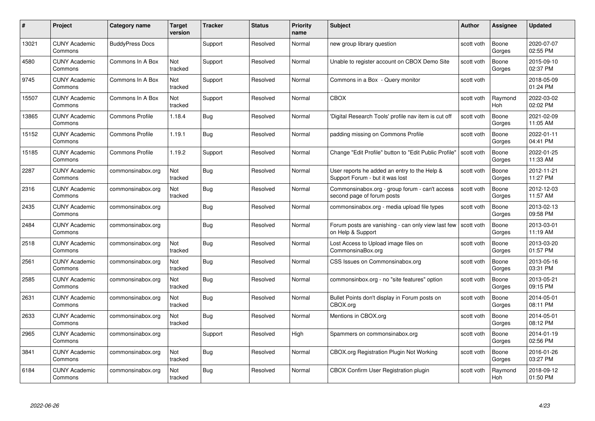| #     | Project                         | Category name          | Target<br>version | <b>Tracker</b> | <b>Status</b> | <b>Priority</b><br>name | <b>Subject</b>                                                                  | <b>Author</b> | <b>Assignee</b> | <b>Updated</b>         |
|-------|---------------------------------|------------------------|-------------------|----------------|---------------|-------------------------|---------------------------------------------------------------------------------|---------------|-----------------|------------------------|
| 13021 | <b>CUNY Academic</b><br>Commons | <b>BuddyPress Docs</b> |                   | Support        | Resolved      | Normal                  | new group library question                                                      | scott voth    | Boone<br>Gorges | 2020-07-07<br>02:55 PM |
| 4580  | <b>CUNY Academic</b><br>Commons | Commons In A Box       | Not<br>tracked    | Support        | Resolved      | Normal                  | Unable to register account on CBOX Demo Site                                    | scott voth    | Boone<br>Gorges | 2015-09-10<br>02:37 PM |
| 9745  | <b>CUNY Academic</b><br>Commons | Commons In A Box       | Not<br>tracked    | Support        | Resolved      | Normal                  | Commons in a Box - Query monitor                                                | scott voth    |                 | 2018-05-09<br>01:24 PM |
| 15507 | <b>CUNY Academic</b><br>Commons | Commons In A Box       | Not<br>tracked    | Support        | Resolved      | Normal                  | <b>CBOX</b>                                                                     | scott voth    | Raymond<br>Hoh  | 2022-03-02<br>02:02 PM |
| 13865 | <b>CUNY Academic</b><br>Commons | <b>Commons Profile</b> | 1.18.4            | Bug            | Resolved      | Normal                  | 'Digital Research Tools' profile nav item is cut off                            | scott voth    | Boone<br>Gorges | 2021-02-09<br>11:05 AM |
| 15152 | <b>CUNY Academic</b><br>Commons | <b>Commons Profile</b> | 1.19.1            | Bug            | Resolved      | Normal                  | padding missing on Commons Profile                                              | scott voth    | Boone<br>Gorges | 2022-01-11<br>04:41 PM |
| 15185 | <b>CUNY Academic</b><br>Commons | <b>Commons Profile</b> | 1.19.2            | Support        | Resolved      | Normal                  | Change "Edit Profile" button to "Edit Public Profile"                           | scott voth    | Boone<br>Gorges | 2022-01-25<br>11:33 AM |
| 2287  | <b>CUNY Academic</b><br>Commons | commonsinabox.org      | Not<br>tracked    | Bug            | Resolved      | Normal                  | User reports he added an entry to the Help &<br>Support Forum - but it was lost | scott voth    | Boone<br>Gorges | 2012-11-21<br>11:27 PM |
| 2316  | <b>CUNY Academic</b><br>Commons | commonsinabox.org      | Not<br>tracked    | Bug            | Resolved      | Normal                  | Commonsinabox.org - group forum - can't access<br>second page of forum posts    | scott voth    | Boone<br>Gorges | 2012-12-03<br>11:57 AM |
| 2435  | <b>CUNY Academic</b><br>Commons | commonsinabox.org      |                   | <b>Bug</b>     | Resolved      | Normal                  | commonsinabox.org - media upload file types                                     | scott voth    | Boone<br>Gorges | 2013-02-13<br>09:58 PM |
| 2484  | <b>CUNY Academic</b><br>Commons | commonsinabox.org      |                   | Bug            | Resolved      | Normal                  | Forum posts are vanishing - can only view last few<br>on Help & Support         | scott voth    | Boone<br>Gorges | 2013-03-01<br>11:19 AM |
| 2518  | <b>CUNY Academic</b><br>Commons | commonsinabox.org      | Not<br>tracked    | <b>Bug</b>     | Resolved      | Normal                  | Lost Access to Upload image files on<br>CommonsinaBox.org                       | scott voth    | Boone<br>Gorges | 2013-03-20<br>01:57 PM |
| 2561  | <b>CUNY Academic</b><br>Commons | commonsinabox.org      | Not<br>tracked    | <b>Bug</b>     | Resolved      | Normal                  | CSS Issues on Commonsinabox.org                                                 | scott voth    | Boone<br>Gorges | 2013-05-16<br>03:31 PM |
| 2585  | <b>CUNY Academic</b><br>Commons | commonsinabox.org      | Not<br>tracked    | <b>Bug</b>     | Resolved      | Normal                  | commonsinbox.org - no "site features" option                                    | scott voth    | Boone<br>Gorges | 2013-05-21<br>09:15 PM |
| 2631  | <b>CUNY Academic</b><br>Commons | commonsinabox.org      | Not<br>tracked    | Bug            | Resolved      | Normal                  | Bullet Points don't display in Forum posts on<br>CBOX.org                       | scott voth    | Boone<br>Gorges | 2014-05-01<br>08:11 PM |
| 2633  | <b>CUNY Academic</b><br>Commons | commonsinabox.org      | Not<br>tracked    | <b>Bug</b>     | Resolved      | Normal                  | Mentions in CBOX.org                                                            | scott voth    | Boone<br>Gorges | 2014-05-01<br>08:12 PM |
| 2965  | <b>CUNY Academic</b><br>Commons | commonsinabox.org      |                   | Support        | Resolved      | High                    | Spammers on commonsinabox.org                                                   | scott voth    | Boone<br>Gorges | 2014-01-19<br>02:56 PM |
| 3841  | <b>CUNY Academic</b><br>Commons | commonsinabox.org      | Not<br>tracked    | <b>Bug</b>     | Resolved      | Normal                  | <b>CBOX.org Registration Plugin Not Working</b>                                 | scott voth    | Boone<br>Gorges | 2016-01-26<br>03:27 PM |
| 6184  | CUNY Academic<br>Commons        | commonsinabox.org      | Not<br>tracked    | Bug            | Resolved      | Normal                  | CBOX Confirm User Registration plugin                                           | scott voth    | Raymond<br>Hoh  | 2018-09-12<br>01:50 PM |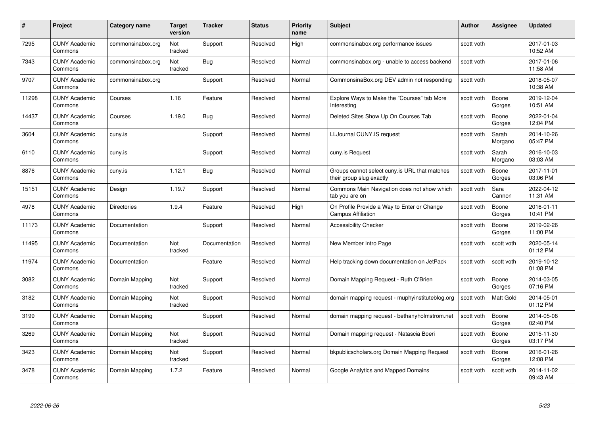| #     | Project                         | Category name      | <b>Target</b><br>version | <b>Tracker</b> | <b>Status</b> | <b>Priority</b><br>name | <b>Subject</b>                                                            | <b>Author</b> | Assignee         | <b>Updated</b>         |
|-------|---------------------------------|--------------------|--------------------------|----------------|---------------|-------------------------|---------------------------------------------------------------------------|---------------|------------------|------------------------|
| 7295  | <b>CUNY Academic</b><br>Commons | commonsinabox.org  | Not<br>tracked           | Support        | Resolved      | High                    | commonsinabox.org performance issues                                      | scott voth    |                  | 2017-01-03<br>10:52 AM |
| 7343  | <b>CUNY Academic</b><br>Commons | commonsinabox.org  | Not<br>tracked           | <b>Bug</b>     | Resolved      | Normal                  | commonsinabox.org - unable to access backend                              | scott voth    |                  | 2017-01-06<br>11:58 AM |
| 9707  | <b>CUNY Academic</b><br>Commons | commonsinabox.org  |                          | Support        | Resolved      | Normal                  | CommonsinaBox.org DEV admin not responding                                | scott voth    |                  | 2018-05-07<br>10:38 AM |
| 11298 | <b>CUNY Academic</b><br>Commons | Courses            | 1.16                     | Feature        | Resolved      | Normal                  | Explore Ways to Make the "Courses" tab More<br>Interesting                | scott voth    | Boone<br>Gorges  | 2019-12-04<br>10:51 AM |
| 14437 | <b>CUNY Academic</b><br>Commons | Courses            | 1.19.0                   | Bug            | Resolved      | Normal                  | Deleted Sites Show Up On Courses Tab                                      | scott voth    | Boone<br>Gorges  | 2022-01-04<br>12:04 PM |
| 3604  | <b>CUNY Academic</b><br>Commons | cuny.is            |                          | Support        | Resolved      | Normal                  | LLJournal CUNY.IS request                                                 | scott voth    | Sarah<br>Morgano | 2014-10-26<br>05:47 PM |
| 6110  | <b>CUNY Academic</b><br>Commons | cuny.is            |                          | Support        | Resolved      | Normal                  | cuny.is Request                                                           | scott voth    | Sarah<br>Morgano | 2016-10-03<br>03:03 AM |
| 8876  | <b>CUNY Academic</b><br>Commons | cuny.is            | 1.12.1                   | Bug            | Resolved      | Normal                  | Groups cannot select cuny is URL that matches<br>their group slug exactly | scott voth    | Boone<br>Gorges  | 2017-11-01<br>03:06 PM |
| 15151 | <b>CUNY Academic</b><br>Commons | Design             | 1.19.7                   | Support        | Resolved      | Normal                  | Commons Main Navigation does not show which<br>tab you are on             | scott voth    | Sara<br>Cannon   | 2022-04-12<br>11:31 AM |
| 4978  | <b>CUNY Academic</b><br>Commons | <b>Directories</b> | 1.9.4                    | Feature        | Resolved      | High                    | On Profile Provide a Way to Enter or Change<br><b>Campus Affiliation</b>  | scott voth    | Boone<br>Gorges  | 2016-01-11<br>10:41 PM |
| 11173 | <b>CUNY Academic</b><br>Commons | Documentation      |                          | Support        | Resolved      | Normal                  | <b>Accessibility Checker</b>                                              | scott voth    | Boone<br>Gorges  | 2019-02-26<br>11:00 PM |
| 11495 | <b>CUNY Academic</b><br>Commons | Documentation      | Not<br>tracked           | Documentation  | Resolved      | Normal                  | New Member Intro Page                                                     | scott voth    | scott voth       | 2020-05-14<br>01:12 PM |
| 11974 | <b>CUNY Academic</b><br>Commons | Documentation      |                          | Feature        | Resolved      | Normal                  | Help tracking down documentation on JetPack                               | scott voth    | scott voth       | 2019-10-12<br>01:08 PM |
| 3082  | <b>CUNY Academic</b><br>Commons | Domain Mapping     | Not<br>tracked           | Support        | Resolved      | Normal                  | Domain Mapping Request - Ruth O'Brien                                     | scott voth    | Boone<br>Gorges  | 2014-03-05<br>07:16 PM |
| 3182  | <b>CUNY Academic</b><br>Commons | Domain Mapping     | Not<br>tracked           | Support        | Resolved      | Normal                  | domain mapping request - muphyinstituteblog.org                           | scott voth    | Matt Gold        | 2014-05-01<br>01:12 PM |
| 3199  | <b>CUNY Academic</b><br>Commons | Domain Mapping     |                          | Support        | Resolved      | Normal                  | domain mapping request - bethanyholmstrom.net                             | scott voth    | Boone<br>Gorges  | 2014-05-08<br>02:40 PM |
| 3269  | <b>CUNY Academic</b><br>Commons | Domain Mapping     | Not<br>tracked           | Support        | Resolved      | Normal                  | Domain mapping request - Natascia Boeri                                   | scott voth    | Boone<br>Gorges  | 2015-11-30<br>03:17 PM |
| 3423  | <b>CUNY Academic</b><br>Commons | Domain Mapping     | Not<br>tracked           | Support        | Resolved      | Normal                  | bkpublicscholars.org Domain Mapping Request                               | scott voth    | Boone<br>Gorges  | 2016-01-26<br>12:08 PM |
| 3478  | CUNY Academic<br>Commons        | Domain Mapping     | 1.7.2                    | Feature        | Resolved      | Normal                  | Google Analytics and Mapped Domains                                       | scott voth    | scott voth       | 2014-11-02<br>09:43 AM |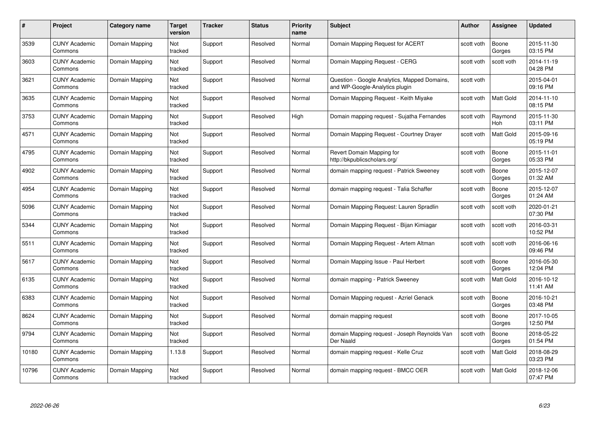| #     | Project                         | Category name  | Target<br>version | <b>Tracker</b> | <b>Status</b> | <b>Priority</b><br>name | <b>Subject</b>                                                                 | <b>Author</b> | <b>Assignee</b>       | <b>Updated</b>         |
|-------|---------------------------------|----------------|-------------------|----------------|---------------|-------------------------|--------------------------------------------------------------------------------|---------------|-----------------------|------------------------|
| 3539  | <b>CUNY Academic</b><br>Commons | Domain Mapping | Not<br>tracked    | Support        | Resolved      | Normal                  | Domain Mapping Request for ACERT                                               | scott voth    | Boone<br>Gorges       | 2015-11-30<br>03:15 PM |
| 3603  | <b>CUNY Academic</b><br>Commons | Domain Mapping | Not<br>tracked    | Support        | Resolved      | Normal                  | Domain Mapping Request - CERG                                                  | scott voth    | scott voth            | 2014-11-19<br>04:28 PM |
| 3621  | <b>CUNY Academic</b><br>Commons | Domain Mapping | Not<br>tracked    | Support        | Resolved      | Normal                  | Question - Google Analytics, Mapped Domains,<br>and WP-Google-Analytics plugin | scott voth    |                       | 2015-04-01<br>09:16 PM |
| 3635  | <b>CUNY Academic</b><br>Commons | Domain Mapping | Not<br>tracked    | Support        | Resolved      | Normal                  | Domain Mapping Request - Keith Miyake                                          | scott voth    | Matt Gold             | 2014-11-10<br>08:15 PM |
| 3753  | <b>CUNY Academic</b><br>Commons | Domain Mapping | Not<br>tracked    | Support        | Resolved      | High                    | Domain mapping request - Sujatha Fernandes                                     | scott voth    | Raymond<br><b>Hoh</b> | 2015-11-30<br>03:11 PM |
| 4571  | <b>CUNY Academic</b><br>Commons | Domain Mapping | Not<br>tracked    | Support        | Resolved      | Normal                  | Domain Mapping Request - Courtney Drayer                                       | scott voth    | Matt Gold             | 2015-09-16<br>05:19 PM |
| 4795  | <b>CUNY Academic</b><br>Commons | Domain Mapping | Not<br>tracked    | Support        | Resolved      | Normal                  | Revert Domain Mapping for<br>http://bkpublicscholars.org/                      | scott voth    | Boone<br>Gorges       | 2015-11-01<br>05:33 PM |
| 4902  | <b>CUNY Academic</b><br>Commons | Domain Mapping | Not<br>tracked    | Support        | Resolved      | Normal                  | domain mapping request - Patrick Sweeney                                       | scott voth    | Boone<br>Gorges       | 2015-12-07<br>01:32 AM |
| 4954  | <b>CUNY Academic</b><br>Commons | Domain Mapping | Not<br>tracked    | Support        | Resolved      | Normal                  | domain mapping request - Talia Schaffer                                        | scott voth    | Boone<br>Gorges       | 2015-12-07<br>01:24 AM |
| 5096  | <b>CUNY Academic</b><br>Commons | Domain Mapping | Not<br>tracked    | Support        | Resolved      | Normal                  | Domain Mapping Request: Lauren Spradlin                                        | scott voth    | scott voth            | 2020-01-21<br>07:30 PM |
| 5344  | <b>CUNY Academic</b><br>Commons | Domain Mapping | Not<br>tracked    | Support        | Resolved      | Normal                  | Domain Mapping Request - Bijan Kimiagar                                        | scott voth    | scott voth            | 2016-03-31<br>10:52 PM |
| 5511  | <b>CUNY Academic</b><br>Commons | Domain Mapping | Not<br>tracked    | Support        | Resolved      | Normal                  | Domain Mapping Request - Artem Altman                                          | scott voth    | scott voth            | 2016-06-16<br>09:46 PM |
| 5617  | <b>CUNY Academic</b><br>Commons | Domain Mapping | Not<br>tracked    | Support        | Resolved      | Normal                  | Domain Mapping Issue - Paul Herbert                                            | scott voth    | Boone<br>Gorges       | 2016-05-30<br>12:04 PM |
| 6135  | <b>CUNY Academic</b><br>Commons | Domain Mapping | Not<br>tracked    | Support        | Resolved      | Normal                  | domain mapping - Patrick Sweeney                                               | scott voth    | Matt Gold             | 2016-10-12<br>11:41 AM |
| 6383  | <b>CUNY Academic</b><br>Commons | Domain Mapping | Not<br>tracked    | Support        | Resolved      | Normal                  | Domain Mapping request - Azriel Genack                                         | scott voth    | Boone<br>Gorges       | 2016-10-21<br>03:48 PM |
| 8624  | <b>CUNY Academic</b><br>Commons | Domain Mapping | Not<br>tracked    | Support        | Resolved      | Normal                  | domain mapping request                                                         | scott voth    | Boone<br>Gorges       | 2017-10-05<br>12:50 PM |
| 9794  | <b>CUNY Academic</b><br>Commons | Domain Mapping | Not<br>tracked    | Support        | Resolved      | Normal                  | domain Mapping request - Joseph Reynolds Van<br>Der Naald                      | scott voth    | Boone<br>Gorges       | 2018-05-22<br>01:54 PM |
| 10180 | <b>CUNY Academic</b><br>Commons | Domain Mapping | 1.13.8            | Support        | Resolved      | Normal                  | domain mapping request - Kelle Cruz                                            | scott voth    | Matt Gold             | 2018-08-29<br>03:23 PM |
| 10796 | CUNY Academic<br>Commons        | Domain Mapping | Not<br>tracked    | Support        | Resolved      | Normal                  | domain mapping request - BMCC OER                                              | scott voth    | <b>Matt Gold</b>      | 2018-12-06<br>07:47 PM |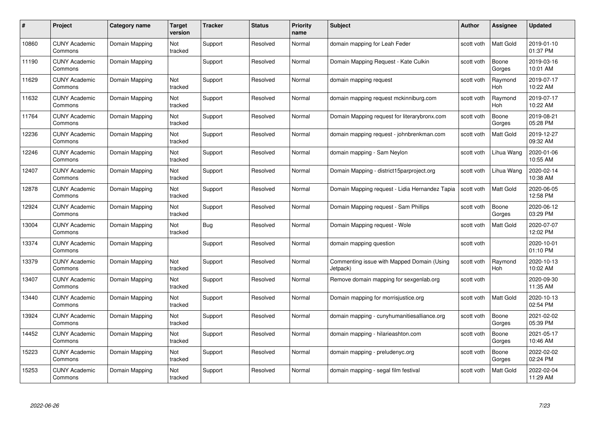| #     | Project                         | Category name  | Target<br>version | <b>Tracker</b> | <b>Status</b> | <b>Priority</b><br>name | <b>Subject</b>                                         | Author     | <b>Assignee</b>       | <b>Updated</b>         |
|-------|---------------------------------|----------------|-------------------|----------------|---------------|-------------------------|--------------------------------------------------------|------------|-----------------------|------------------------|
| 10860 | <b>CUNY Academic</b><br>Commons | Domain Mapping | Not<br>tracked    | Support        | Resolved      | Normal                  | domain mapping for Leah Feder                          | scott voth | Matt Gold             | 2019-01-10<br>01:37 PM |
| 11190 | <b>CUNY Academic</b><br>Commons | Domain Mapping |                   | Support        | Resolved      | Normal                  | Domain Mapping Request - Kate Culkin                   | scott voth | Boone<br>Gorges       | 2019-03-16<br>10:01 AM |
| 11629 | <b>CUNY Academic</b><br>Commons | Domain Mapping | Not<br>tracked    | Support        | Resolved      | Normal                  | domain mapping request                                 | scott voth | Raymond<br><b>Hoh</b> | 2019-07-17<br>10:22 AM |
| 11632 | <b>CUNY Academic</b><br>Commons | Domain Mapping | Not<br>tracked    | Support        | Resolved      | Normal                  | domain mapping request mckinniburg.com                 | scott voth | Raymond<br><b>Hoh</b> | 2019-07-17<br>10:22 AM |
| 11764 | <b>CUNY Academic</b><br>Commons | Domain Mapping | Not<br>tracked    | Support        | Resolved      | Normal                  | Domain Mapping request for literarybronx.com           | scott voth | Boone<br>Gorges       | 2019-08-21<br>05:28 PM |
| 12236 | <b>CUNY Academic</b><br>Commons | Domain Mapping | Not<br>tracked    | Support        | Resolved      | Normal                  | domain mapping request - johnbrenkman.com              | scott voth | Matt Gold             | 2019-12-27<br>09:32 AM |
| 12246 | <b>CUNY Academic</b><br>Commons | Domain Mapping | Not<br>tracked    | Support        | Resolved      | Normal                  | domain mapping - Sam Neylon                            | scott voth | Lihua Wang            | 2020-01-06<br>10:55 AM |
| 12407 | <b>CUNY Academic</b><br>Commons | Domain Mapping | Not<br>tracked    | Support        | Resolved      | Normal                  | Domain Mapping - district15parproject.org              | scott voth | Lihua Wang            | 2020-02-14<br>10:38 AM |
| 12878 | <b>CUNY Academic</b><br>Commons | Domain Mapping | Not<br>tracked    | Support        | Resolved      | Normal                  | Domain Mapping request - Lidia Hernandez Tapia         | scott voth | <b>Matt Gold</b>      | 2020-06-05<br>12:58 PM |
| 12924 | <b>CUNY Academic</b><br>Commons | Domain Mapping | Not<br>tracked    | Support        | Resolved      | Normal                  | Domain Mapping request - Sam Phillips                  | scott voth | Boone<br>Gorges       | 2020-06-12<br>03:29 PM |
| 13004 | <b>CUNY Academic</b><br>Commons | Domain Mapping | Not<br>tracked    | Bug            | Resolved      | Normal                  | Domain Mapping request - Wole                          | scott voth | Matt Gold             | 2020-07-07<br>12:02 PM |
| 13374 | <b>CUNY Academic</b><br>Commons | Domain Mapping |                   | Support        | Resolved      | Normal                  | domain mapping question                                | scott voth |                       | 2020-10-01<br>01:10 PM |
| 13379 | <b>CUNY Academic</b><br>Commons | Domain Mapping | Not<br>tracked    | Support        | Resolved      | Normal                  | Commenting issue with Mapped Domain (Using<br>Jetpack) | scott voth | Raymond<br>Hoh        | 2020-10-13<br>10:02 AM |
| 13407 | <b>CUNY Academic</b><br>Commons | Domain Mapping | Not<br>tracked    | Support        | Resolved      | Normal                  | Remove domain mapping for sexgenlab.org                | scott voth |                       | 2020-09-30<br>11:35 AM |
| 13440 | <b>CUNY Academic</b><br>Commons | Domain Mapping | Not<br>tracked    | Support        | Resolved      | Normal                  | Domain mapping for morrisjustice.org                   | scott voth | Matt Gold             | 2020-10-13<br>02:54 PM |
| 13924 | <b>CUNY Academic</b><br>Commons | Domain Mapping | Not<br>tracked    | Support        | Resolved      | Normal                  | domain mapping - cunyhumanitiesalliance.org            | scott voth | Boone<br>Gorges       | 2021-02-02<br>05:39 PM |
| 14452 | <b>CUNY Academic</b><br>Commons | Domain Mapping | Not<br>tracked    | Support        | Resolved      | Normal                  | domain mapping - hilarieashton.com                     | scott voth | Boone<br>Gorges       | 2021-05-17<br>10:46 AM |
| 15223 | <b>CUNY Academic</b><br>Commons | Domain Mapping | Not<br>tracked    | Support        | Resolved      | Normal                  | domain mapping - preludenyc.org                        | scott voth | Boone<br>Gorges       | 2022-02-02<br>02:24 PM |
| 15253 | CUNY Academic<br>Commons        | Domain Mapping | Not<br>tracked    | Support        | Resolved      | Normal                  | domain mapping - segal film festival                   | scott voth | Matt Gold             | 2022-02-04<br>11:29 AM |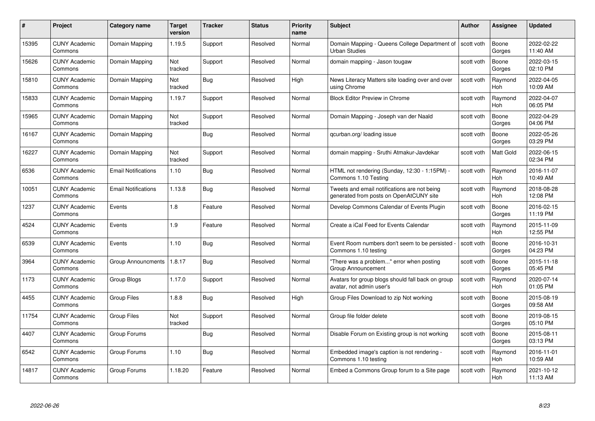| #     | Project                         | <b>Category name</b>       | Target<br>version | <b>Tracker</b> | <b>Status</b> | <b>Priority</b><br>name | <b>Subject</b>                                                                          | <b>Author</b> | <b>Assignee</b>       | <b>Updated</b>         |
|-------|---------------------------------|----------------------------|-------------------|----------------|---------------|-------------------------|-----------------------------------------------------------------------------------------|---------------|-----------------------|------------------------|
| 15395 | <b>CUNY Academic</b><br>Commons | Domain Mapping             | 1.19.5            | Support        | Resolved      | Normal                  | Domain Mapping - Queens College Department of<br><b>Urban Studies</b>                   | scott voth    | Boone<br>Gorges       | 2022-02-22<br>11:40 AM |
| 15626 | <b>CUNY Academic</b><br>Commons | Domain Mapping             | Not<br>tracked    | Support        | Resolved      | Normal                  | domain mapping - Jason tougaw                                                           | scott voth    | Boone<br>Gorges       | 2022-03-15<br>02:10 PM |
| 15810 | <b>CUNY Academic</b><br>Commons | Domain Mapping             | Not<br>tracked    | <b>Bug</b>     | Resolved      | High                    | News Literacy Matters site loading over and over<br>using Chrome                        | scott voth    | Raymond<br>Hoh        | 2022-04-05<br>10:09 AM |
| 15833 | <b>CUNY Academic</b><br>Commons | Domain Mapping             | 1.19.7            | Support        | Resolved      | Normal                  | <b>Block Editor Preview in Chrome</b>                                                   | scott voth    | Raymond<br>Hoh        | 2022-04-07<br>06:05 PM |
| 15965 | <b>CUNY Academic</b><br>Commons | Domain Mapping             | Not<br>tracked    | Support        | Resolved      | Normal                  | Domain Mapping - Joseph van der Naald                                                   | scott voth    | Boone<br>Gorges       | 2022-04-29<br>04:06 PM |
| 16167 | <b>CUNY Academic</b><br>Commons | Domain Mapping             |                   | Bug            | Resolved      | Normal                  | qcurban.org/loading issue                                                               | scott voth    | Boone<br>Gorges       | 2022-05-26<br>03:29 PM |
| 16227 | <b>CUNY Academic</b><br>Commons | Domain Mapping             | Not<br>tracked    | Support        | Resolved      | Normal                  | domain mapping - Sruthi Atmakur-Javdekar                                                | scott voth    | Matt Gold             | 2022-06-15<br>02:34 PM |
| 6536  | <b>CUNY Academic</b><br>Commons | <b>Email Notifications</b> | 1.10              | <b>Bug</b>     | Resolved      | Normal                  | HTML not rendering (Sunday, 12:30 - 1:15PM) -<br>Commons 1.10 Testing                   | scott voth    | Raymond<br><b>Hoh</b> | 2016-11-07<br>10:49 AM |
| 10051 | <b>CUNY Academic</b><br>Commons | <b>Email Notifications</b> | 1.13.8            | Bug            | Resolved      | Normal                  | Tweets and email notifications are not being<br>generated from posts on OpenAtCUNY site | scott voth    | Raymond<br>Hoh        | 2018-08-28<br>12:08 PM |
| 1237  | <b>CUNY Academic</b><br>Commons | Events                     | 1.8               | Feature        | Resolved      | Normal                  | Develop Commons Calendar of Events Plugin                                               | scott voth    | Boone<br>Gorges       | 2016-02-15<br>11:19 PM |
| 4524  | CUNY Academic<br>Commons        | Events                     | 1.9               | Feature        | Resolved      | Normal                  | Create a iCal Feed for Events Calendar                                                  | scott voth    | Raymond<br>Hoh        | 2015-11-09<br>12:55 PM |
| 6539  | <b>CUNY Academic</b><br>Commons | Events                     | 1.10              | <b>Bug</b>     | Resolved      | Normal                  | Event Room numbers don't seem to be persisted<br>Commons 1.10 testing                   | scott voth    | Boone<br>Gorges       | 2016-10-31<br>04:23 PM |
| 3964  | <b>CUNY Academic</b><br>Commons | <b>Group Announcments</b>  | 1.8.17            | <b>Bug</b>     | Resolved      | Normal                  | "There was a problem" error when posting<br>Group Announcement                          | scott voth    | Boone<br>Gorges       | 2015-11-18<br>05:45 PM |
| 1173  | <b>CUNY Academic</b><br>Commons | Group Blogs                | 1.17.0            | Support        | Resolved      | Normal                  | Avatars for group blogs should fall back on group<br>avatar, not admin user's           | scott voth    | Raymond<br>Hoh        | 2020-07-14<br>01:05 PM |
| 4455  | <b>CUNY Academic</b><br>Commons | <b>Group Files</b>         | 1.8.8             | Bug            | Resolved      | High                    | Group Files Download to zip Not working                                                 | scott voth    | Boone<br>Gorges       | 2015-08-19<br>09:58 AM |
| 11754 | <b>CUNY Academic</b><br>Commons | <b>Group Files</b>         | Not<br>tracked    | Support        | Resolved      | Normal                  | Group file folder delete                                                                | scott voth    | Boone<br>Gorges       | 2019-08-15<br>05:10 PM |
| 4407  | <b>CUNY Academic</b><br>Commons | Group Forums               |                   | <b>Bug</b>     | Resolved      | Normal                  | Disable Forum on Existing group is not working                                          | scott voth    | Boone<br>Gorges       | 2015-08-11<br>03:13 PM |
| 6542  | <b>CUNY Academic</b><br>Commons | Group Forums               | 1.10              | Bug            | Resolved      | Normal                  | Embedded image's caption is not rendering -<br>Commons 1.10 testing                     | scott voth    | Raymond<br>Hoh        | 2016-11-01<br>10:59 AM |
| 14817 | CUNY Academic<br>Commons        | Group Forums               | 1.18.20           | Feature        | Resolved      | Normal                  | Embed a Commons Group forum to a Site page                                              | scott voth    | Raymond<br>Hoh        | 2021-10-12<br>11:13 AM |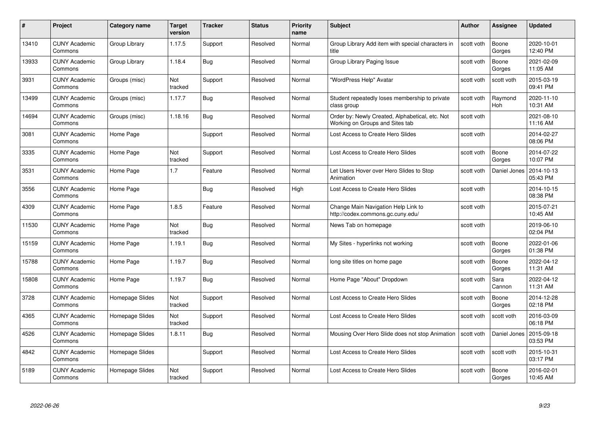| #     | Project                         | Category name   | <b>Target</b><br>version | <b>Tracker</b> | <b>Status</b> | <b>Priority</b><br>name | <b>Subject</b>                                                                     | <b>Author</b> | Assignee              | <b>Updated</b>         |
|-------|---------------------------------|-----------------|--------------------------|----------------|---------------|-------------------------|------------------------------------------------------------------------------------|---------------|-----------------------|------------------------|
| 13410 | <b>CUNY Academic</b><br>Commons | Group Library   | 1.17.5                   | Support        | Resolved      | Normal                  | Group Library Add item with special characters in<br>title                         | scott voth    | Boone<br>Gorges       | 2020-10-01<br>12:40 PM |
| 13933 | <b>CUNY Academic</b><br>Commons | Group Library   | 1.18.4                   | <b>Bug</b>     | Resolved      | Normal                  | Group Library Paging Issue                                                         | scott voth    | Boone<br>Gorges       | 2021-02-09<br>11:05 AM |
| 3931  | <b>CUNY Academic</b><br>Commons | Groups (misc)   | Not<br>tracked           | Support        | Resolved      | Normal                  | "WordPress Help" Avatar                                                            | scott voth    | scott voth            | 2015-03-19<br>09:41 PM |
| 13499 | <b>CUNY Academic</b><br>Commons | Groups (misc)   | 1.17.7                   | Bug            | Resolved      | Normal                  | Student repeatedly loses membership to private<br>class group                      | scott voth    | Raymond<br><b>Hoh</b> | 2020-11-10<br>10:31 AM |
| 14694 | <b>CUNY Academic</b><br>Commons | Groups (misc)   | 1.18.16                  | Bug            | Resolved      | Normal                  | Order by: Newly Created, Alphabetical, etc. Not<br>Working on Groups and Sites tab | scott voth    |                       | 2021-08-10<br>11:16 AM |
| 3081  | <b>CUNY Academic</b><br>Commons | Home Page       |                          | Support        | Resolved      | Normal                  | Lost Access to Create Hero Slides                                                  | scott voth    |                       | 2014-02-27<br>08:06 PM |
| 3335  | <b>CUNY Academic</b><br>Commons | Home Page       | Not<br>tracked           | Support        | Resolved      | Normal                  | Lost Access to Create Hero Slides                                                  | scott voth    | Boone<br>Gorges       | 2014-07-22<br>10:07 PM |
| 3531  | <b>CUNY Academic</b><br>Commons | Home Page       | 1.7                      | Feature        | Resolved      | Normal                  | Let Users Hover over Hero Slides to Stop<br>Animation                              | scott voth    | Daniel Jones          | 2014-10-13<br>05:43 PM |
| 3556  | <b>CUNY Academic</b><br>Commons | Home Page       |                          | Bug            | Resolved      | High                    | Lost Access to Create Hero Slides                                                  | scott voth    |                       | 2014-10-15<br>08:38 PM |
| 4309  | <b>CUNY Academic</b><br>Commons | Home Page       | 1.8.5                    | Feature        | Resolved      | Normal                  | Change Main Navigation Help Link to<br>http://codex.commons.gc.cuny.edu/           | scott voth    |                       | 2015-07-21<br>10:45 AM |
| 11530 | <b>CUNY Academic</b><br>Commons | Home Page       | Not<br>tracked           | <b>Bug</b>     | Resolved      | Normal                  | News Tab on homepage                                                               | scott voth    |                       | 2019-06-10<br>02:04 PM |
| 15159 | <b>CUNY Academic</b><br>Commons | Home Page       | 1.19.1                   | Bug            | Resolved      | Normal                  | My Sites - hyperlinks not working                                                  | scott voth    | Boone<br>Gorges       | 2022-01-06<br>01:38 PM |
| 15788 | <b>CUNY Academic</b><br>Commons | Home Page       | 1.19.7                   | <b>Bug</b>     | Resolved      | Normal                  | long site titles on home page                                                      | scott voth    | Boone<br>Gorges       | 2022-04-12<br>11:31 AM |
| 15808 | <b>CUNY Academic</b><br>Commons | Home Page       | 1.19.7                   | <b>Bug</b>     | Resolved      | Normal                  | Home Page "About" Dropdown                                                         | scott voth    | Sara<br>Cannon        | 2022-04-12<br>11:31 AM |
| 3728  | <b>CUNY Academic</b><br>Commons | Homepage Slides | Not<br>tracked           | Support        | Resolved      | Normal                  | Lost Access to Create Hero Slides                                                  | scott voth    | Boone<br>Gorges       | 2014-12-28<br>02:18 PM |
| 4365  | <b>CUNY Academic</b><br>Commons | Homepage Slides | Not<br>tracked           | Support        | Resolved      | Normal                  | Lost Access to Create Hero Slides                                                  | scott voth    | scott voth            | 2016-03-09<br>06:18 PM |
| 4526  | <b>CUNY Academic</b><br>Commons | Homepage Slides | 1.8.11                   | <b>Bug</b>     | Resolved      | Normal                  | Mousing Over Hero Slide does not stop Animation   scott voth                       |               | Daniel Jones          | 2015-09-18<br>03:53 PM |
| 4842  | <b>CUNY Academic</b><br>Commons | Homepage Slides |                          | Support        | Resolved      | Normal                  | Lost Access to Create Hero Slides                                                  | scott voth    | scott voth            | 2015-10-31<br>03:17 PM |
| 5189  | <b>CUNY Academic</b><br>Commons | Homepage Slides | Not<br>tracked           | Support        | Resolved      | Normal                  | Lost Access to Create Hero Slides                                                  | scott voth    | Boone<br>Gorges       | 2016-02-01<br>10:45 AM |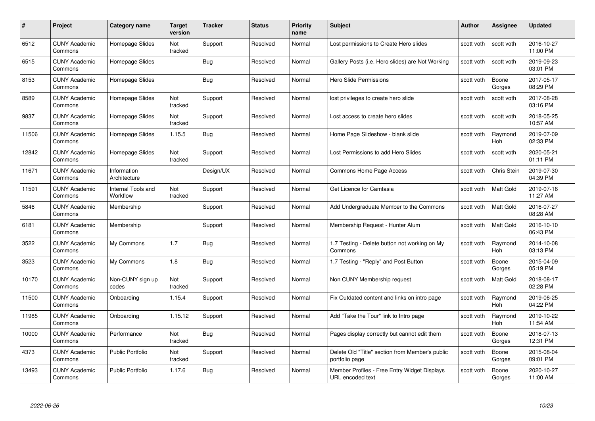| #     | Project                         | Category name                  | Target<br>version | <b>Tracker</b> | <b>Status</b> | <b>Priority</b><br>name | <b>Subject</b>                                                    | Author     | <b>Assignee</b>       | <b>Updated</b>         |
|-------|---------------------------------|--------------------------------|-------------------|----------------|---------------|-------------------------|-------------------------------------------------------------------|------------|-----------------------|------------------------|
| 6512  | <b>CUNY Academic</b><br>Commons | Homepage Slides                | Not<br>tracked    | Support        | Resolved      | Normal                  | Lost permissions to Create Hero slides                            | scott voth | scott voth            | 2016-10-27<br>11:00 PM |
| 6515  | <b>CUNY Academic</b><br>Commons | Homepage Slides                |                   | <b>Bug</b>     | Resolved      | Normal                  | Gallery Posts (i.e. Hero slides) are Not Working                  | scott voth | scott voth            | 2019-09-23<br>03:01 PM |
| 8153  | <b>CUNY Academic</b><br>Commons | Homepage Slides                |                   | <b>Bug</b>     | Resolved      | Normal                  | Hero Slide Permissions                                            | scott voth | Boone<br>Gorges       | 2017-05-17<br>08:29 PM |
| 8589  | <b>CUNY Academic</b><br>Commons | Homepage Slides                | Not<br>tracked    | Support        | Resolved      | Normal                  | lost privileges to create hero slide                              | scott voth | scott voth            | 2017-08-28<br>03:16 PM |
| 9837  | <b>CUNY Academic</b><br>Commons | Homepage Slides                | Not<br>tracked    | Support        | Resolved      | Normal                  | Lost access to create hero slides                                 | scott voth | scott voth            | 2018-05-25<br>10:57 AM |
| 11506 | <b>CUNY Academic</b><br>Commons | Homepage Slides                | 1.15.5            | Bug            | Resolved      | Normal                  | Home Page Slideshow - blank slide                                 | scott voth | Raymond<br>Hoh        | 2019-07-09<br>02:33 PM |
| 12842 | <b>CUNY Academic</b><br>Commons | Homepage Slides                | Not<br>tracked    | Support        | Resolved      | Normal                  | Lost Permissions to add Hero Slides                               | scott voth | scott voth            | 2020-05-21<br>01:11 PM |
| 11671 | <b>CUNY Academic</b><br>Commons | Information<br>Architecture    |                   | Design/UX      | Resolved      | Normal                  | Commons Home Page Access                                          | scott voth | Chris Stein           | 2019-07-30<br>04:39 PM |
| 11591 | <b>CUNY Academic</b><br>Commons | Internal Tools and<br>Workflow | Not<br>tracked    | Support        | Resolved      | Normal                  | Get Licence for Camtasia                                          | scott voth | Matt Gold             | 2019-07-16<br>11:27 AM |
| 5846  | <b>CUNY Academic</b><br>Commons | Membership                     |                   | Support        | Resolved      | Normal                  | Add Undergraduate Member to the Commons                           | scott voth | Matt Gold             | 2016-07-27<br>08:28 AM |
| 6181  | <b>CUNY Academic</b><br>Commons | Membership                     |                   | Support        | Resolved      | Normal                  | Membership Request - Hunter Alum                                  | scott voth | Matt Gold             | 2016-10-10<br>06:43 PM |
| 3522  | <b>CUNY Academic</b><br>Commons | My Commons                     | 1.7               | <b>Bug</b>     | Resolved      | Normal                  | 1.7 Testing - Delete button not working on My<br>Commons          | scott voth | Raymond<br><b>Hoh</b> | 2014-10-08<br>03:13 PM |
| 3523  | <b>CUNY Academic</b><br>Commons | My Commons                     | 1.8               | <b>Bug</b>     | Resolved      | Normal                  | 1.7 Testing - "Reply" and Post Button                             | scott voth | Boone<br>Gorges       | 2015-04-09<br>05:19 PM |
| 10170 | <b>CUNY Academic</b><br>Commons | Non-CUNY sign up<br>codes      | Not<br>tracked    | Support        | Resolved      | Normal                  | Non CUNY Membership request                                       | scott voth | Matt Gold             | 2018-08-17<br>02:28 PM |
| 11500 | <b>CUNY Academic</b><br>Commons | Onboarding                     | 1.15.4            | Support        | Resolved      | Normal                  | Fix Outdated content and links on intro page                      | scott voth | Raymond<br><b>Hoh</b> | 2019-06-25<br>04:22 PM |
| 11985 | <b>CUNY Academic</b><br>Commons | Onboarding                     | 1.15.12           | Support        | Resolved      | Normal                  | Add "Take the Tour" link to Intro page                            | scott voth | Raymond<br><b>Hoh</b> | 2019-10-22<br>11:54 AM |
| 10000 | <b>CUNY Academic</b><br>Commons | Performance                    | Not<br>tracked    | <b>Bug</b>     | Resolved      | Normal                  | Pages display correctly but cannot edit them                      | scott voth | Boone<br>Gorges       | 2018-07-13<br>12:31 PM |
| 4373  | <b>CUNY Academic</b><br>Commons | <b>Public Portfolio</b>        | Not<br>tracked    | Support        | Resolved      | Normal                  | Delete Old "Title" section from Member's public<br>portfolio page | scott voth | Boone<br>Gorges       | 2015-08-04<br>09:01 PM |
| 13493 | CUNY Academic<br>Commons        | <b>Public Portfolio</b>        | 1.17.6            | <b>Bug</b>     | Resolved      | Normal                  | Member Profiles - Free Entry Widget Displays<br>URL encoded text  | scott voth | Boone<br>Gorges       | 2020-10-27<br>11:00 AM |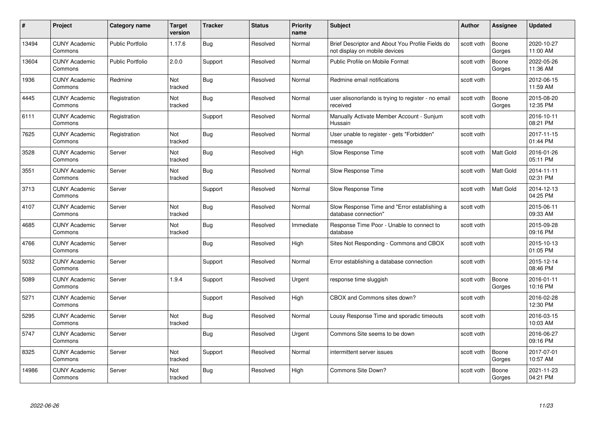| #     | Project                         | <b>Category name</b>    | <b>Target</b><br>version | <b>Tracker</b> | <b>Status</b> | <b>Priority</b><br>name | <b>Subject</b>                                                                    | Author     | Assignee         | <b>Updated</b>         |
|-------|---------------------------------|-------------------------|--------------------------|----------------|---------------|-------------------------|-----------------------------------------------------------------------------------|------------|------------------|------------------------|
| 13494 | <b>CUNY Academic</b><br>Commons | <b>Public Portfolio</b> | 1.17.6                   | Bug            | Resolved      | Normal                  | Brief Descriptor and About You Profile Fields do<br>not display on mobile devices | scott voth | Boone<br>Gorges  | 2020-10-27<br>11:00 AM |
| 13604 | <b>CUNY Academic</b><br>Commons | Public Portfolio        | 2.0.0                    | Support        | Resolved      | Normal                  | Public Profile on Mobile Format                                                   | scott voth | Boone<br>Gorges  | 2022-05-26<br>11:36 AM |
| 1936  | <b>CUNY Academic</b><br>Commons | Redmine                 | Not<br>tracked           | <b>Bug</b>     | Resolved      | Normal                  | Redmine email notifications                                                       | scott voth |                  | 2012-06-15<br>11:59 AM |
| 4445  | <b>CUNY Academic</b><br>Commons | Registration            | Not<br>tracked           | Bug            | Resolved      | Normal                  | user alisonorlando is trying to register - no email<br>received                   | scott voth | Boone<br>Gorges  | 2015-08-20<br>12:35 PM |
| 6111  | <b>CUNY Academic</b><br>Commons | Registration            |                          | Support        | Resolved      | Normal                  | Manually Activate Member Account - Sunjum<br>Hussain                              | scott voth |                  | 2016-10-11<br>08:21 PM |
| 7625  | <b>CUNY Academic</b><br>Commons | Registration            | Not<br>tracked           | Bug            | Resolved      | Normal                  | User unable to register - gets "Forbidden"<br>message                             | scott voth |                  | 2017-11-15<br>01:44 PM |
| 3528  | <b>CUNY Academic</b><br>Commons | Server                  | Not<br>tracked           | <b>Bug</b>     | Resolved      | High                    | Slow Response Time                                                                | scott voth | <b>Matt Gold</b> | 2016-01-26<br>05:11 PM |
| 3551  | <b>CUNY Academic</b><br>Commons | Server                  | Not<br>tracked           | <b>Bug</b>     | Resolved      | Normal                  | Slow Response Time                                                                | scott voth | <b>Matt Gold</b> | 2014-11-11<br>02:31 PM |
| 3713  | <b>CUNY Academic</b><br>Commons | Server                  |                          | Support        | Resolved      | Normal                  | Slow Response Time                                                                | scott voth | <b>Matt Gold</b> | 2014-12-13<br>04:25 PM |
| 4107  | <b>CUNY Academic</b><br>Commons | Server                  | Not<br>tracked           | <b>Bug</b>     | Resolved      | Normal                  | Slow Response Time and "Error establishing a<br>database connection"              | scott voth |                  | 2015-06-11<br>09:33 AM |
| 4685  | <b>CUNY Academic</b><br>Commons | Server                  | Not<br>tracked           | <b>Bug</b>     | Resolved      | Immediate               | Response Time Poor - Unable to connect to<br>database                             | scott voth |                  | 2015-09-28<br>09:16 PM |
| 4766  | <b>CUNY Academic</b><br>Commons | Server                  |                          | Bug            | Resolved      | High                    | Sites Not Responding - Commons and CBOX                                           | scott voth |                  | 2015-10-13<br>01:05 PM |
| 5032  | <b>CUNY Academic</b><br>Commons | Server                  |                          | Support        | Resolved      | Normal                  | Error establishing a database connection                                          | scott voth |                  | 2015-12-14<br>08:46 PM |
| 5089  | <b>CUNY Academic</b><br>Commons | Server                  | 1.9.4                    | Support        | Resolved      | Urgent                  | response time sluggish                                                            | scott voth | Boone<br>Gorges  | 2016-01-11<br>10:16 PM |
| 5271  | <b>CUNY Academic</b><br>Commons | Server                  |                          | Support        | Resolved      | High                    | CBOX and Commons sites down?                                                      | scott voth |                  | 2016-02-28<br>12:30 PM |
| 5295  | <b>CUNY Academic</b><br>Commons | Server                  | Not<br>tracked           | Bug            | Resolved      | Normal                  | Lousy Response Time and sporadic timeouts                                         | scott voth |                  | 2016-03-15<br>10:03 AM |
| 5747  | <b>CUNY Academic</b><br>Commons | Server                  |                          | Bug            | Resolved      | Urgent                  | Commons Site seems to be down                                                     | scott voth |                  | 2016-06-27<br>09:16 PM |
| 8325  | <b>CUNY Academic</b><br>Commons | Server                  | Not<br>tracked           | Support        | Resolved      | Normal                  | intermittent server issues                                                        | scott voth | Boone<br>Gorges  | 2017-07-01<br>10:57 AM |
| 14986 | <b>CUNY Academic</b><br>Commons | Server                  | Not<br>tracked           | <b>Bug</b>     | Resolved      | High                    | Commons Site Down?                                                                | scott voth | Boone<br>Gorges  | 2021-11-23<br>04:21 PM |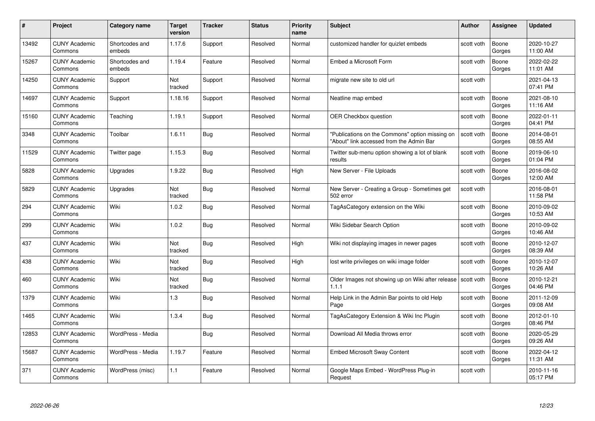| #     | Project                         | <b>Category name</b>     | <b>Target</b><br>version | <b>Tracker</b> | <b>Status</b> | <b>Priority</b><br>name | <b>Subject</b>                                                                              | <b>Author</b> | <b>Assignee</b> | <b>Updated</b>         |
|-------|---------------------------------|--------------------------|--------------------------|----------------|---------------|-------------------------|---------------------------------------------------------------------------------------------|---------------|-----------------|------------------------|
| 13492 | <b>CUNY Academic</b><br>Commons | Shortcodes and<br>embeds | 1.17.6                   | Support        | Resolved      | Normal                  | customized handler for quizlet embeds                                                       | scott voth    | Boone<br>Gorges | 2020-10-27<br>11:00 AM |
| 15267 | <b>CUNY Academic</b><br>Commons | Shortcodes and<br>embeds | 1.19.4                   | Feature        | Resolved      | Normal                  | Embed a Microsoft Form                                                                      | scott voth    | Boone<br>Gorges | 2022-02-22<br>11:01 AM |
| 14250 | <b>CUNY Academic</b><br>Commons | Support                  | Not<br>tracked           | Support        | Resolved      | Normal                  | migrate new site to old url                                                                 | scott voth    |                 | 2021-04-13<br>07:41 PM |
| 14697 | <b>CUNY Academic</b><br>Commons | Support                  | 1.18.16                  | Support        | Resolved      | Normal                  | Neatline map embed                                                                          | scott voth    | Boone<br>Gorges | 2021-08-10<br>11:16 AM |
| 15160 | <b>CUNY Academic</b><br>Commons | Teaching                 | 1.19.1                   | Support        | Resolved      | Normal                  | <b>OER Checkbox question</b>                                                                | scott voth    | Boone<br>Gorges | 2022-01-11<br>04:41 PM |
| 3348  | <b>CUNY Academic</b><br>Commons | Toolbar                  | 1.6.11                   | <b>Bug</b>     | Resolved      | Normal                  | "Publications on the Commons" option missing on<br>"About" link accessed from the Admin Bar | scott voth    | Boone<br>Gorges | 2014-08-01<br>08:55 AM |
| 11529 | <b>CUNY Academic</b><br>Commons | Twitter page             | 1.15.3                   | Bug            | Resolved      | Normal                  | Twitter sub-menu option showing a lot of blank<br>results                                   | scott voth    | Boone<br>Gorges | 2019-06-10<br>01:04 PM |
| 5828  | <b>CUNY Academic</b><br>Commons | Upgrades                 | 1.9.22                   | Bug            | Resolved      | High                    | New Server - File Uploads                                                                   | scott voth    | Boone<br>Gorges | 2016-08-02<br>12:00 AM |
| 5829  | <b>CUNY Academic</b><br>Commons | Upgrades                 | Not<br>tracked           | <b>Bug</b>     | Resolved      | Normal                  | New Server - Creating a Group - Sometimes get<br>502 error                                  | scott voth    |                 | 2016-08-01<br>11:58 PM |
| 294   | <b>CUNY Academic</b><br>Commons | Wiki                     | 1.0.2                    | <b>Bug</b>     | Resolved      | Normal                  | TagAsCategory extension on the Wiki                                                         | scott voth    | Boone<br>Gorges | 2010-09-02<br>10:53 AM |
| 299   | CUNY Academic<br>Commons        | Wiki                     | 1.0.2                    | Bug            | Resolved      | Normal                  | Wiki Sidebar Search Option                                                                  | scott voth    | Boone<br>Gorges | 2010-09-02<br>10:46 AM |
| 437   | <b>CUNY Academic</b><br>Commons | Wiki                     | Not<br>tracked           | <b>Bug</b>     | Resolved      | High                    | Wiki not displaying images in newer pages                                                   | scott voth    | Boone<br>Gorges | 2010-12-07<br>08:39 AM |
| 438   | <b>CUNY Academic</b><br>Commons | Wiki                     | Not<br>tracked           | Bug            | Resolved      | High                    | lost write privileges on wiki image folder                                                  | scott voth    | Boone<br>Gorges | 2010-12-07<br>10:26 AM |
| 460   | <b>CUNY Academic</b><br>Commons | Wiki                     | Not<br>tracked           | <b>Bug</b>     | Resolved      | Normal                  | Older Images not showing up on Wiki after release   scott voth<br>1.1.1                     |               | Boone<br>Gorges | 2010-12-21<br>04:46 PM |
| 1379  | <b>CUNY Academic</b><br>Commons | Wiki                     | 1.3                      | Bug            | Resolved      | Normal                  | Help Link in the Admin Bar points to old Help<br>Page                                       | scott voth    | Boone<br>Gorges | 2011-12-09<br>09:08 AM |
| 1465  | <b>CUNY Academic</b><br>Commons | Wiki                     | 1.3.4                    | Bug            | Resolved      | Normal                  | TagAsCategory Extension & Wiki Inc Plugin                                                   | scott voth    | Boone<br>Gorges | 2012-01-10<br>08:46 PM |
| 12853 | <b>CUNY Academic</b><br>Commons | WordPress - Media        |                          | Bug            | Resolved      | Normal                  | Download All Media throws error                                                             | scott voth    | Boone<br>Gorges | 2020-05-29<br>09:26 AM |
| 15687 | <b>CUNY Academic</b><br>Commons | WordPress - Media        | 1.19.7                   | Feature        | Resolved      | Normal                  | <b>Embed Microsoft Sway Content</b>                                                         | scott voth    | Boone<br>Gorges | 2022-04-12<br>11:31 AM |
| 371   | <b>CUNY Academic</b><br>Commons | WordPress (misc)         | 1.1                      | Feature        | Resolved      | Normal                  | Google Maps Embed - WordPress Plug-in<br>Request                                            | scott voth    |                 | 2010-11-16<br>05:17 PM |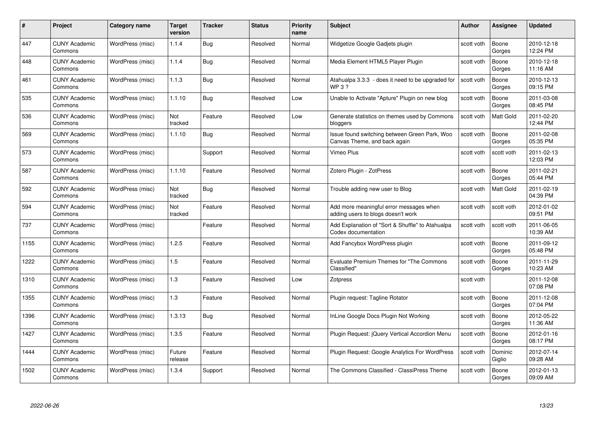| #    | Project                         | <b>Category name</b> | Target<br>version | <b>Tracker</b> | <b>Status</b> | <b>Priority</b><br>name | <b>Subject</b>                                                                | <b>Author</b> | Assignee          | <b>Updated</b>         |
|------|---------------------------------|----------------------|-------------------|----------------|---------------|-------------------------|-------------------------------------------------------------------------------|---------------|-------------------|------------------------|
| 447  | <b>CUNY Academic</b><br>Commons | WordPress (misc)     | 1.1.4             | Bug            | Resolved      | Normal                  | Widgetize Google Gadjets plugin                                               | scott voth    | Boone<br>Gorges   | 2010-12-18<br>12:24 PM |
| 448  | <b>CUNY Academic</b><br>Commons | WordPress (misc)     | 1.1.4             | <b>Bug</b>     | Resolved      | Normal                  | Media Element HTML5 Player Plugin                                             | scott voth    | Boone<br>Gorges   | 2010-12-18<br>11:16 AM |
| 461  | <b>CUNY Academic</b><br>Commons | WordPress (misc)     | 1.1.3             | Bug            | Resolved      | Normal                  | Atahualpa 3.3.3 - does it need to be upgraded for<br>WP 3 ?                   | scott voth    | Boone<br>Gorges   | 2010-12-13<br>09:15 PM |
| 535  | <b>CUNY Academic</b><br>Commons | WordPress (misc)     | 1.1.10            | Bug            | Resolved      | Low                     | Unable to Activate "Apture" Plugin on new blog                                | scott voth    | Boone<br>Gorges   | 2011-03-08<br>08:45 PM |
| 536  | CUNY Academic<br>Commons        | WordPress (misc)     | Not<br>tracked    | Feature        | Resolved      | Low                     | Generate statistics on themes used by Commons<br>bloggers                     | scott voth    | <b>Matt Gold</b>  | 2011-02-20<br>12:44 PM |
| 569  | <b>CUNY Academic</b><br>Commons | WordPress (misc)     | 1.1.10            | Bug            | Resolved      | Normal                  | Issue found switching between Green Park, Woo<br>Canvas Theme, and back again | scott voth    | Boone<br>Gorges   | 2011-02-08<br>05:35 PM |
| 573  | <b>CUNY Academic</b><br>Commons | WordPress (misc)     |                   | Support        | Resolved      | Normal                  | Vimeo Plus                                                                    | scott voth    | scott voth        | 2011-02-13<br>12:03 PM |
| 587  | <b>CUNY Academic</b><br>Commons | WordPress (misc)     | 1.1.10            | Feature        | Resolved      | Normal                  | Zotero Plugin - ZotPress                                                      | scott voth    | Boone<br>Gorges   | 2011-02-21<br>05:44 PM |
| 592  | <b>CUNY Academic</b><br>Commons | WordPress (misc)     | Not<br>tracked    | <b>Bug</b>     | Resolved      | Normal                  | Trouble adding new user to Blog                                               | scott voth    | <b>Matt Gold</b>  | 2011-02-19<br>04:39 PM |
| 594  | <b>CUNY Academic</b><br>Commons | WordPress (misc)     | Not<br>tracked    | Feature        | Resolved      | Normal                  | Add more meaningful error messages when<br>adding users to blogs doesn't work | scott voth    | scott voth        | 2012-01-02<br>09:51 PM |
| 737  | CUNY Academic<br>Commons        | WordPress (misc)     |                   | Feature        | Resolved      | Normal                  | Add Explanation of "Sort & Shuffle" to Atahualpa<br>Codex documentation       | scott voth    | scott voth        | 2011-06-05<br>10:39 AM |
| 1155 | <b>CUNY Academic</b><br>Commons | WordPress (misc)     | 1.2.5             | Feature        | Resolved      | Normal                  | Add Fancybox WordPress plugin                                                 | scott voth    | Boone<br>Gorges   | 2011-09-12<br>05:48 PM |
| 1222 | <b>CUNY Academic</b><br>Commons | WordPress (misc)     | 1.5               | Feature        | Resolved      | Normal                  | <b>Evaluate Premium Themes for "The Commons</b><br>Classified"                | scott voth    | Boone<br>Gorges   | 2011-11-29<br>10:23 AM |
| 1310 | <b>CUNY Academic</b><br>Commons | WordPress (misc)     | $1.3$             | Feature        | Resolved      | Low                     | Zotpress                                                                      | scott voth    |                   | 2011-12-08<br>07:08 PM |
| 1355 | <b>CUNY Academic</b><br>Commons | WordPress (misc)     | $1.3$             | Feature        | Resolved      | Normal                  | Plugin request: Tagline Rotator                                               | scott voth    | Boone<br>Gorges   | 2011-12-08<br>07:04 PM |
| 1396 | <b>CUNY Academic</b><br>Commons | WordPress (misc)     | 1.3.13            | Bug            | Resolved      | Normal                  | InLine Google Docs Plugin Not Working                                         | scott voth    | Boone<br>Gorges   | 2012-05-22<br>11:36 AM |
| 1427 | <b>CUNY Academic</b><br>Commons | WordPress (misc)     | 1.3.5             | Feature        | Resolved      | Normal                  | Plugin Request: jQuery Vertical Accordion Menu                                | scott voth    | Boone<br>Gorges   | 2012-01-16<br>08:17 PM |
| 1444 | <b>CUNY Academic</b><br>Commons | WordPress (misc)     | Future<br>release | Feature        | Resolved      | Normal                  | Plugin Request: Google Analytics For WordPress                                | scott voth    | Dominic<br>Giglio | 2012-07-14<br>09:28 AM |
| 1502 | <b>CUNY Academic</b><br>Commons | WordPress (misc)     | 1.3.4             | Support        | Resolved      | Normal                  | The Commons Classified - ClassiPress Theme                                    | scott voth    | Boone<br>Gorges   | 2012-01-13<br>09:09 AM |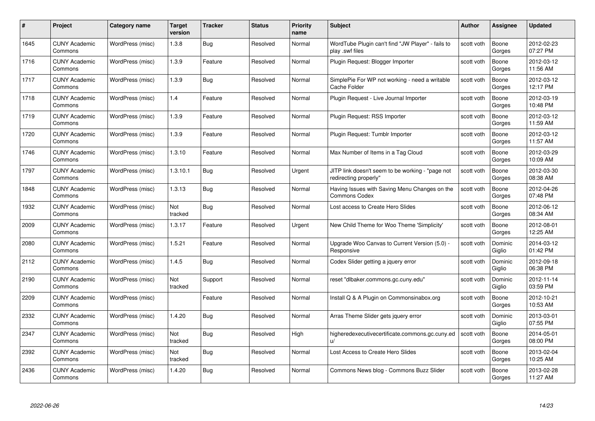| #    | Project                         | <b>Category name</b> | Target<br>version | <b>Tracker</b> | <b>Status</b> | <b>Priority</b><br>name | <b>Subject</b>                                                            | <b>Author</b> | <b>Assignee</b>   | <b>Updated</b>         |
|------|---------------------------------|----------------------|-------------------|----------------|---------------|-------------------------|---------------------------------------------------------------------------|---------------|-------------------|------------------------|
| 1645 | <b>CUNY Academic</b><br>Commons | WordPress (misc)     | 1.3.8             | Bug            | Resolved      | Normal                  | WordTube Plugin can't find "JW Player" - fails to<br>play .swf files      | scott voth    | Boone<br>Gorges   | 2012-02-23<br>07:27 PM |
| 1716 | <b>CUNY Academic</b><br>Commons | WordPress (misc)     | 1.3.9             | Feature        | Resolved      | Normal                  | Plugin Request: Blogger Importer                                          | scott voth    | Boone<br>Gorges   | 2012-03-12<br>11:56 AM |
| 1717 | <b>CUNY Academic</b><br>Commons | WordPress (misc)     | 1.3.9             | <b>Bug</b>     | Resolved      | Normal                  | SimplePie For WP not working - need a writable<br>Cache Folder            | scott voth    | Boone<br>Gorges   | 2012-03-12<br>12:17 PM |
| 1718 | <b>CUNY Academic</b><br>Commons | WordPress (misc)     | 1.4               | Feature        | Resolved      | Normal                  | Plugin Request - Live Journal Importer                                    | scott voth    | Boone<br>Gorges   | 2012-03-19<br>10:48 PM |
| 1719 | CUNY Academic<br>Commons        | WordPress (misc)     | 1.3.9             | Feature        | Resolved      | Normal                  | Plugin Request: RSS Importer                                              | scott voth    | Boone<br>Gorges   | 2012-03-12<br>11:59 AM |
| 1720 | <b>CUNY Academic</b><br>Commons | WordPress (misc)     | 1.3.9             | Feature        | Resolved      | Normal                  | Plugin Request: Tumblr Importer                                           | scott voth    | Boone<br>Gorges   | 2012-03-12<br>11:57 AM |
| 1746 | <b>CUNY Academic</b><br>Commons | WordPress (misc)     | 1.3.10            | Feature        | Resolved      | Normal                  | Max Number of Items in a Tag Cloud                                        | scott voth    | Boone<br>Gorges   | 2012-03-29<br>10:09 AM |
| 1797 | <b>CUNY Academic</b><br>Commons | WordPress (misc)     | 1.3.10.1          | Bug            | Resolved      | Urgent                  | JITP link doesn't seem to be working - "page not<br>redirecting properly" | scott voth    | Boone<br>Gorges   | 2012-03-30<br>08:38 AM |
| 1848 | <b>CUNY Academic</b><br>Commons | WordPress (misc)     | 1.3.13            | <b>Bug</b>     | Resolved      | Normal                  | Having Issues with Saving Menu Changes on the<br><b>Commons Codex</b>     | scott voth    | Boone<br>Gorges   | 2012-04-26<br>07:48 PM |
| 1932 | <b>CUNY Academic</b><br>Commons | WordPress (misc)     | Not<br>tracked    | <b>Bug</b>     | Resolved      | Normal                  | Lost access to Create Hero Slides                                         | scott voth    | Boone<br>Gorges   | 2012-06-12<br>08:34 AM |
| 2009 | CUNY Academic<br>Commons        | WordPress (misc)     | 1.3.17            | Feature        | Resolved      | Urgent                  | New Child Theme for Woo Theme 'Simplicity'                                | scott voth    | Boone<br>Gorges   | 2012-08-01<br>12:25 AM |
| 2080 | <b>CUNY Academic</b><br>Commons | WordPress (misc)     | 1.5.21            | Feature        | Resolved      | Normal                  | Upgrade Woo Canvas to Current Version (5.0) -<br>Responsive               | scott voth    | Dominic<br>Giglio | 2014-03-12<br>01:42 PM |
| 2112 | <b>CUNY Academic</b><br>Commons | WordPress (misc)     | 1.4.5             | <b>Bug</b>     | Resolved      | Normal                  | Codex Slider getting a jquery error                                       | scott voth    | Dominic<br>Giglio | 2012-09-18<br>06:38 PM |
| 2190 | <b>CUNY Academic</b><br>Commons | WordPress (misc)     | Not<br>tracked    | Support        | Resolved      | Normal                  | reset "dlbaker.commons.gc.cuny.edu"                                       | scott voth    | Dominic<br>Giglio | 2012-11-14<br>03:59 PM |
| 2209 | <b>CUNY Academic</b><br>Commons | WordPress (misc)     |                   | Feature        | Resolved      | Normal                  | Install Q & A Plugin on Commonsinabox.org                                 | scott voth    | Boone<br>Gorges   | 2012-10-21<br>10:53 AM |
| 2332 | <b>CUNY Academic</b><br>Commons | WordPress (misc)     | 1.4.20            | Bug            | Resolved      | Normal                  | Arras Theme Slider gets jquery error                                      | scott voth    | Dominic<br>Giglio | 2013-03-01<br>07:55 PM |
| 2347 | <b>CUNY Academic</b><br>Commons | WordPress (misc)     | Not<br>tracked    | <b>Bug</b>     | Resolved      | High                    | higheredexecutivecertificate.commons.gc.cuny.ed<br>u/                     | scott voth    | Boone<br>Gorges   | 2014-05-01<br>08:00 PM |
| 2392 | <b>CUNY Academic</b><br>Commons | WordPress (misc)     | Not<br>tracked    | <b>Bug</b>     | Resolved      | Normal                  | Lost Access to Create Hero Slides                                         | scott voth    | Boone<br>Gorges   | 2013-02-04<br>10:25 AM |
| 2436 | CUNY Academic<br>Commons        | WordPress (misc)     | 1.4.20            | Bug            | Resolved      | Normal                  | Commons News blog - Commons Buzz Slider                                   | scott voth    | Boone<br>Gorges   | 2013-02-28<br>11:27 AM |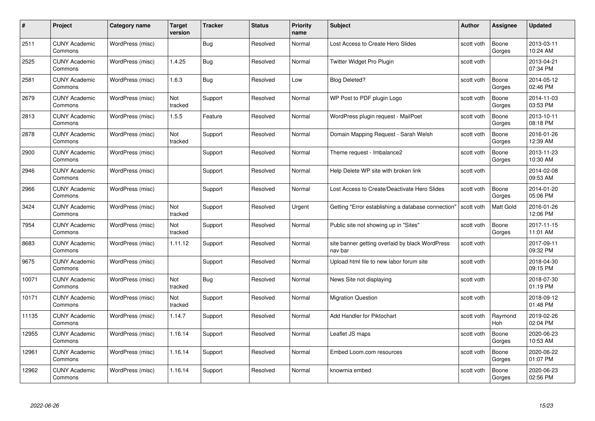| #     | Project                         | <b>Category name</b> | <b>Target</b><br>version | <b>Tracker</b> | <b>Status</b> | <b>Priority</b><br>name | <b>Subject</b>                                             | <b>Author</b> | <b>Assignee</b>       | <b>Updated</b>         |
|-------|---------------------------------|----------------------|--------------------------|----------------|---------------|-------------------------|------------------------------------------------------------|---------------|-----------------------|------------------------|
| 2511  | <b>CUNY Academic</b><br>Commons | WordPress (misc)     |                          | Bug            | Resolved      | Normal                  | Lost Access to Create Hero Slides                          | scott voth    | Boone<br>Gorges       | 2013-03-11<br>10:24 AM |
| 2525  | <b>CUNY Academic</b><br>Commons | WordPress (misc)     | 1.4.25                   | Bug            | Resolved      | Normal                  | Twitter Widget Pro Plugin                                  | scott voth    |                       | 2013-04-21<br>07:34 PM |
| 2581  | <b>CUNY Academic</b><br>Commons | WordPress (misc)     | 1.6.3                    | <b>Bug</b>     | Resolved      | Low                     | <b>Blog Deleted?</b>                                       | scott voth    | Boone<br>Gorges       | 2014-05-12<br>02:46 PM |
| 2679  | <b>CUNY Academic</b><br>Commons | WordPress (misc)     | Not<br>tracked           | Support        | Resolved      | Normal                  | WP Post to PDF plugin Logo                                 | scott voth    | Boone<br>Gorges       | 2014-11-03<br>03:53 PM |
| 2813  | <b>CUNY Academic</b><br>Commons | WordPress (misc)     | 1.5.5                    | Feature        | Resolved      | Normal                  | WordPress plugin request - MailPoet                        | scott voth    | Boone<br>Gorges       | 2013-10-11<br>08:18 PM |
| 2878  | <b>CUNY Academic</b><br>Commons | WordPress (misc)     | Not<br>tracked           | Support        | Resolved      | Normal                  | Domain Mapping Request - Sarah Welsh                       | scott voth    | Boone<br>Gorges       | 2016-01-26<br>12:39 AM |
| 2900  | <b>CUNY Academic</b><br>Commons | WordPress (misc)     |                          | Support        | Resolved      | Normal                  | Theme request - Imbalance2                                 | scott voth    | Boone<br>Gorges       | 2013-11-23<br>10:30 AM |
| 2946  | <b>CUNY Academic</b><br>Commons | WordPress (misc)     |                          | Support        | Resolved      | Normal                  | Help Delete WP site with broken link                       | scott voth    |                       | 2014-02-08<br>09:53 AM |
| 2966  | <b>CUNY Academic</b><br>Commons | WordPress (misc)     |                          | Support        | Resolved      | Normal                  | Lost Access to Create/Deactivate Hero Slides               | scott voth    | Boone<br>Gorges       | 2014-01-20<br>05:06 PM |
| 3424  | <b>CUNY Academic</b><br>Commons | WordPress (misc)     | Not<br>tracked           | Support        | Resolved      | Urgent                  | Getting "Error establishing a database connection"         | scott voth    | Matt Gold             | 2016-01-26<br>12:06 PM |
| 7954  | <b>CUNY Academic</b><br>Commons | WordPress (misc)     | Not<br>tracked           | Support        | Resolved      | Normal                  | Public site not showing up in "Sites"                      | scott voth    | Boone<br>Gorges       | 2017-11-15<br>11:01 AM |
| 8683  | <b>CUNY Academic</b><br>Commons | WordPress (misc)     | 1.11.12                  | Support        | Resolved      | Normal                  | site banner getting overlaid by black WordPress<br>nav bar | scott voth    |                       | 2017-09-11<br>09:32 PM |
| 9675  | <b>CUNY Academic</b><br>Commons | WordPress (misc)     |                          | Support        | Resolved      | Normal                  | Upload html file to new labor forum site                   | scott voth    |                       | 2018-04-30<br>09:15 PM |
| 10071 | <b>CUNY Academic</b><br>Commons | WordPress (misc)     | Not<br>tracked           | <b>Bug</b>     | Resolved      | Normal                  | News Site not displaying                                   | scott voth    |                       | 2018-07-30<br>01:19 PM |
| 10171 | <b>CUNY Academic</b><br>Commons | WordPress (misc)     | Not<br>tracked           | Support        | Resolved      | Normal                  | <b>Migration Question</b>                                  | scott voth    |                       | 2018-09-12<br>01:48 PM |
| 11135 | <b>CUNY Academic</b><br>Commons | WordPress (misc)     | 1.14.7                   | Support        | Resolved      | Normal                  | Add Handler for Piktochart                                 | scott voth    | Raymond<br><b>Hoh</b> | 2019-02-26<br>02:04 PM |
| 12955 | <b>CUNY Academic</b><br>Commons | WordPress (misc)     | 1.16.14                  | Support        | Resolved      | Normal                  | Leaflet JS maps                                            | scott voth    | Boone<br>Gorges       | 2020-06-23<br>10:53 AM |
| 12961 | <b>CUNY Academic</b><br>Commons | WordPress (misc)     | 1.16.14                  | Support        | Resolved      | Normal                  | Embed Loom.com resources                                   | scott voth    | Boone<br>Gorges       | 2020-06-22<br>01:07 PM |
| 12962 | <b>CUNY Academic</b><br>Commons | WordPress (misc)     | 1.16.14                  | Support        | Resolved      | Normal                  | knowmia embed                                              | scott voth    | Boone<br>Gorges       | 2020-06-23<br>02:56 PM |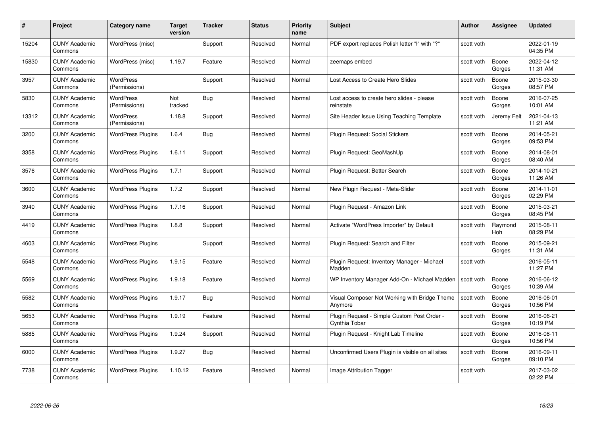| #     | Project                         | Category name                     | Target<br>version | <b>Tracker</b> | <b>Status</b> | <b>Priority</b><br>name | <b>Subject</b>                                               | <b>Author</b> | Assignee        | <b>Updated</b>         |
|-------|---------------------------------|-----------------------------------|-------------------|----------------|---------------|-------------------------|--------------------------------------------------------------|---------------|-----------------|------------------------|
| 15204 | <b>CUNY Academic</b><br>Commons | WordPress (misc)                  |                   | Support        | Resolved      | Normal                  | PDF export replaces Polish letter "I" with "?"               | scott voth    |                 | 2022-01-19<br>04:35 PM |
| 15830 | <b>CUNY Academic</b><br>Commons | WordPress (misc)                  | 1.19.7            | Feature        | Resolved      | Normal                  | zeemaps embed                                                | scott voth    | Boone<br>Gorges | 2022-04-12<br>11:31 AM |
| 3957  | <b>CUNY Academic</b><br>Commons | <b>WordPress</b><br>(Permissions) |                   | Support        | Resolved      | Normal                  | Lost Access to Create Hero Slides                            | scott voth    | Boone<br>Gorges | 2015-03-30<br>08:57 PM |
| 5830  | <b>CUNY Academic</b><br>Commons | <b>WordPress</b><br>(Permissions) | Not<br>tracked    | <b>Bug</b>     | Resolved      | Normal                  | Lost access to create hero slides - please<br>reinstate      | scott voth    | Boone<br>Gorges | 2016-07-25<br>10:01 AM |
| 13312 | <b>CUNY Academic</b><br>Commons | <b>WordPress</b><br>(Permissions) | 1.18.8            | Support        | Resolved      | Normal                  | Site Header Issue Using Teaching Template                    | scott voth    | Jeremy Felt     | 2021-04-13<br>11:21 AM |
| 3200  | <b>CUNY Academic</b><br>Commons | <b>WordPress Plugins</b>          | 1.6.4             | Bug            | Resolved      | Normal                  | Plugin Request: Social Stickers                              | scott voth    | Boone<br>Gorges | 2014-05-21<br>09:53 PM |
| 3358  | <b>CUNY Academic</b><br>Commons | <b>WordPress Plugins</b>          | 1.6.11            | Support        | Resolved      | Normal                  | Plugin Request: GeoMashUp                                    | scott voth    | Boone<br>Gorges | 2014-08-01<br>08:40 AM |
| 3576  | <b>CUNY Academic</b><br>Commons | <b>WordPress Plugins</b>          | 1.7.1             | Support        | Resolved      | Normal                  | Plugin Request: Better Search                                | scott voth    | Boone<br>Gorges | 2014-10-21<br>11:26 AM |
| 3600  | <b>CUNY Academic</b><br>Commons | <b>WordPress Plugins</b>          | 1.7.2             | Support        | Resolved      | Normal                  | New Plugin Request - Meta-Slider                             | scott voth    | Boone<br>Gorges | 2014-11-01<br>02:29 PM |
| 3940  | <b>CUNY Academic</b><br>Commons | <b>WordPress Plugins</b>          | 1.7.16            | Support        | Resolved      | Normal                  | Plugin Request - Amazon Link                                 | scott voth    | Boone<br>Gorges | 2015-03-21<br>08:45 PM |
| 4419  | <b>CUNY Academic</b><br>Commons | <b>WordPress Plugins</b>          | 1.8.8             | Support        | Resolved      | Normal                  | Activate "WordPress Importer" by Default                     | scott voth    | Raymond<br>Hoh  | 2015-08-11<br>08:29 PM |
| 4603  | <b>CUNY Academic</b><br>Commons | <b>WordPress Plugins</b>          |                   | Support        | Resolved      | Normal                  | Plugin Request: Search and Filter                            | scott voth    | Boone<br>Gorges | 2015-09-21<br>11:31 AM |
| 5548  | <b>CUNY Academic</b><br>Commons | <b>WordPress Plugins</b>          | 1.9.15            | Feature        | Resolved      | Normal                  | Plugin Request: Inventory Manager - Michael<br>Madden        | scott voth    |                 | 2016-05-11<br>11:27 PM |
| 5569  | <b>CUNY Academic</b><br>Commons | <b>WordPress Plugins</b>          | 1.9.18            | Feature        | Resolved      | Normal                  | WP Inventory Manager Add-On - Michael Madden                 | scott voth    | Boone<br>Gorges | 2016-06-12<br>10:39 AM |
| 5582  | <b>CUNY Academic</b><br>Commons | <b>WordPress Plugins</b>          | 1.9.17            | Bug            | Resolved      | Normal                  | Visual Composer Not Working with Bridge Theme<br>Anvmore     | scott voth    | Boone<br>Gorges | 2016-06-01<br>10:56 PM |
| 5653  | <b>CUNY Academic</b><br>Commons | <b>WordPress Plugins</b>          | 1.9.19            | Feature        | Resolved      | Normal                  | Plugin Request - Simple Custom Post Order -<br>Cynthia Tobar | scott voth    | Boone<br>Gorges | 2016-06-21<br>10:19 PM |
| 5885  | <b>CUNY Academic</b><br>Commons | <b>WordPress Plugins</b>          | 1.9.24            | Support        | Resolved      | Normal                  | Plugin Request - Knight Lab Timeline                         | scott voth    | Boone<br>Gorges | 2016-08-11<br>10:56 PM |
| 6000  | <b>CUNY Academic</b><br>Commons | <b>WordPress Plugins</b>          | 1.9.27            | <b>Bug</b>     | Resolved      | Normal                  | Unconfirmed Users Plugin is visible on all sites             | scott voth    | Boone<br>Gorges | 2016-09-11<br>09:10 PM |
| 7738  | CUNY Academic<br>Commons        | <b>WordPress Plugins</b>          | 1.10.12           | Feature        | Resolved      | Normal                  | Image Attribution Tagger                                     | scott voth    |                 | 2017-03-02<br>02:22 PM |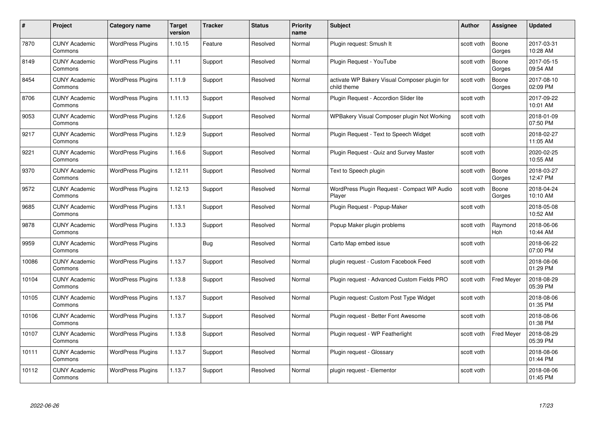| #     | Project                         | Category name            | <b>Target</b><br>version | <b>Tracker</b> | <b>Status</b> | <b>Priority</b><br>name | <b>Subject</b>                                               | <b>Author</b> | <b>Assignee</b>   | <b>Updated</b>         |
|-------|---------------------------------|--------------------------|--------------------------|----------------|---------------|-------------------------|--------------------------------------------------------------|---------------|-------------------|------------------------|
| 7870  | <b>CUNY Academic</b><br>Commons | <b>WordPress Plugins</b> | 1.10.15                  | Feature        | Resolved      | Normal                  | Plugin request: Smush It                                     | scott voth    | Boone<br>Gorges   | 2017-03-31<br>10:28 AM |
| 8149  | <b>CUNY Academic</b><br>Commons | <b>WordPress Plugins</b> | 1.11                     | Support        | Resolved      | Normal                  | Plugin Request - YouTube                                     | scott voth    | Boone<br>Gorges   | 2017-05-15<br>09:54 AM |
| 8454  | <b>CUNY Academic</b><br>Commons | <b>WordPress Plugins</b> | 1.11.9                   | Support        | Resolved      | Normal                  | activate WP Bakery Visual Composer plugin for<br>child theme | scott voth    | Boone<br>Gorges   | 2017-08-10<br>02:09 PM |
| 8706  | <b>CUNY Academic</b><br>Commons | <b>WordPress Plugins</b> | 1.11.13                  | Support        | Resolved      | Normal                  | Plugin Request - Accordion Slider lite                       | scott voth    |                   | 2017-09-22<br>10:01 AM |
| 9053  | <b>CUNY Academic</b><br>Commons | <b>WordPress Plugins</b> | 1.12.6                   | Support        | Resolved      | Normal                  | WPBakery Visual Composer plugin Not Working                  | scott voth    |                   | 2018-01-09<br>07:50 PM |
| 9217  | <b>CUNY Academic</b><br>Commons | <b>WordPress Plugins</b> | 1.12.9                   | Support        | Resolved      | Normal                  | Plugin Request - Text to Speech Widget                       | scott voth    |                   | 2018-02-27<br>11:05 AM |
| 9221  | <b>CUNY Academic</b><br>Commons | <b>WordPress Plugins</b> | 1.16.6                   | Support        | Resolved      | Normal                  | Plugin Request - Quiz and Survey Master                      | scott voth    |                   | 2020-02-25<br>10:55 AM |
| 9370  | <b>CUNY Academic</b><br>Commons | <b>WordPress Plugins</b> | 1.12.11                  | Support        | Resolved      | Normal                  | Text to Speech plugin                                        | scott voth    | Boone<br>Gorges   | 2018-03-27<br>12:47 PM |
| 9572  | <b>CUNY Academic</b><br>Commons | <b>WordPress Plugins</b> | 1.12.13                  | Support        | Resolved      | Normal                  | WordPress Plugin Request - Compact WP Audio<br>Player        | scott voth    | Boone<br>Gorges   | 2018-04-24<br>10:10 AM |
| 9685  | <b>CUNY Academic</b><br>Commons | <b>WordPress Plugins</b> | 1.13.1                   | Support        | Resolved      | Normal                  | Plugin Request - Popup-Maker                                 | scott voth    |                   | 2018-05-08<br>10:52 AM |
| 9878  | <b>CUNY Academic</b><br>Commons | <b>WordPress Plugins</b> | 1.13.3                   | Support        | Resolved      | Normal                  | Popup Maker plugin problems                                  | scott voth    | Raymond<br>Hoh    | 2018-06-06<br>10:44 AM |
| 9959  | <b>CUNY Academic</b><br>Commons | <b>WordPress Plugins</b> |                          | <b>Bug</b>     | Resolved      | Normal                  | Carto Map embed issue                                        | scott voth    |                   | 2018-06-22<br>07:00 PM |
| 10086 | <b>CUNY Academic</b><br>Commons | <b>WordPress Plugins</b> | 1.13.7                   | Support        | Resolved      | Normal                  | plugin request - Custom Facebook Feed                        | scott voth    |                   | 2018-08-06<br>01:29 PM |
| 10104 | <b>CUNY Academic</b><br>Commons | <b>WordPress Plugins</b> | 1.13.8                   | Support        | Resolved      | Normal                  | Plugin request - Advanced Custom Fields PRO                  | scott voth    | <b>Fred Meyer</b> | 2018-08-29<br>05:39 PM |
| 10105 | <b>CUNY Academic</b><br>Commons | <b>WordPress Plugins</b> | 1.13.7                   | Support        | Resolved      | Normal                  | Plugin request: Custom Post Type Widget                      | scott voth    |                   | 2018-08-06<br>01:35 PM |
| 10106 | <b>CUNY Academic</b><br>Commons | <b>WordPress Plugins</b> | 1.13.7                   | Support        | Resolved      | Normal                  | Plugin request - Better Font Awesome                         | scott voth    |                   | 2018-08-06<br>01:38 PM |
| 10107 | <b>CUNY Academic</b><br>Commons | <b>WordPress Plugins</b> | 1.13.8                   | Support        | Resolved      | Normal                  | Plugin request - WP Featherlight                             | scott voth    | Fred Meyer        | 2018-08-29<br>05:39 PM |
| 10111 | <b>CUNY Academic</b><br>Commons | <b>WordPress Plugins</b> | 1.13.7                   | Support        | Resolved      | Normal                  | Plugin request - Glossary                                    | scott voth    |                   | 2018-08-06<br>01:44 PM |
| 10112 | CUNY Academic<br>Commons        | <b>WordPress Plugins</b> | 1.13.7                   | Support        | Resolved      | Normal                  | plugin request - Elementor                                   | scott voth    |                   | 2018-08-06<br>01:45 PM |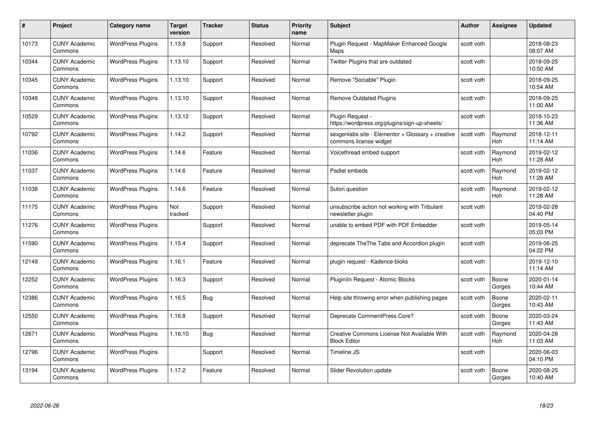| #     | Project                         | <b>Category name</b>     | Target<br>version | <b>Tracker</b> | <b>Status</b> | <b>Priority</b><br>name | <b>Subject</b>                                                              | <b>Author</b> | <b>Assignee</b>       | <b>Updated</b>         |
|-------|---------------------------------|--------------------------|-------------------|----------------|---------------|-------------------------|-----------------------------------------------------------------------------|---------------|-----------------------|------------------------|
| 10173 | <b>CUNY Academic</b><br>Commons | <b>WordPress Plugins</b> | 1.13.8            | Support        | Resolved      | Normal                  | Plugin Request - MapMaker Enhanced Google<br>Maps                           | scott voth    |                       | 2018-08-23<br>08:07 AM |
| 10344 | <b>CUNY Academic</b><br>Commons | <b>WordPress Plugins</b> | 1.13.10           | Support        | Resolved      | Normal                  | Twitter Plugins that are outdated                                           | scott voth    |                       | 2018-09-25<br>10:50 AM |
| 10345 | <b>CUNY Academic</b><br>Commons | <b>WordPress Plugins</b> | 1.13.10           | Support        | Resolved      | Normal                  | Remove "Sociable" Plugin                                                    | scott voth    |                       | 2018-09-25<br>10:54 AM |
| 10348 | <b>CUNY Academic</b><br>Commons | <b>WordPress Plugins</b> | 1.13.10           | Support        | Resolved      | Normal                  | <b>Remove Outdated Plugins</b>                                              | scott voth    |                       | 2018-09-25<br>11:00 AM |
| 10529 | <b>CUNY Academic</b><br>Commons | <b>WordPress Plugins</b> | 1.13.12           | Support        | Resolved      | Normal                  | Plugin Request -<br>https://wordpress.org/plugins/sign-up-sheets/           | scott voth    |                       | 2018-10-23<br>11:36 AM |
| 10792 | <b>CUNY Academic</b><br>Commons | <b>WordPress Plugins</b> | 1.14.2            | Support        | Resolved      | Normal                  | sexgenlabs site - Elementor + Glossary + creative<br>commons license widget | scott voth    | Raymond<br>Hoh        | 2018-12-11<br>11:14 AM |
| 11036 | <b>CUNY Academic</b><br>Commons | <b>WordPress Plugins</b> | 1.14.6            | Feature        | Resolved      | Normal                  | Voicethread embed support                                                   | scott voth    | Raymond<br>Hoh        | 2019-02-12<br>11:28 AM |
| 11037 | <b>CUNY Academic</b><br>Commons | <b>WordPress Plugins</b> | 1.14.6            | Feature        | Resolved      | Normal                  | Padlet embeds                                                               | scott voth    | Raymond<br><b>Hoh</b> | 2019-02-12<br>11:28 AM |
| 11038 | <b>CUNY Academic</b><br>Commons | <b>WordPress Plugins</b> | 1.14.6            | Feature        | Resolved      | Normal                  | Sutori question                                                             | scott voth    | Raymond<br>Hoh        | 2019-02-12<br>11:28 AM |
| 11175 | <b>CUNY Academic</b><br>Commons | <b>WordPress Plugins</b> | Not<br>tracked    | Support        | Resolved      | Normal                  | unsubscribe action not working with Tribulant<br>newsletter plugin          | scott voth    |                       | 2019-02-28<br>04:40 PM |
| 11276 | CUNY Academic<br>Commons        | <b>WordPress Plugins</b> |                   | Support        | Resolved      | Normal                  | unable to embed PDF with PDF Embedder                                       | scott voth    |                       | 2019-05-14<br>05:03 PM |
| 11590 | <b>CUNY Academic</b><br>Commons | <b>WordPress Plugins</b> | 1.15.4            | Support        | Resolved      | Normal                  | deprecate TheThe Tabs and Accordion plugin                                  | scott voth    |                       | 2019-06-25<br>04:22 PM |
| 12149 | <b>CUNY Academic</b><br>Commons | <b>WordPress Plugins</b> | 1.16.1            | Feature        | Resolved      | Normal                  | plugin request - Kadence-bloks                                              | scott voth    |                       | 2019-12-10<br>11:14 AM |
| 12252 | <b>CUNY Academic</b><br>Commons | <b>WordPress Plugins</b> | 1.16.3            | Support        | Resolved      | Normal                  | Pluginiln Request - Atomic Blocks                                           | scott voth    | Boone<br>Gorges       | 2020-01-14<br>10:44 AM |
| 12386 | <b>CUNY Academic</b><br>Commons | <b>WordPress Plugins</b> | 1.16.5            | Bug            | Resolved      | Normal                  | Help site throwing error when publishing pages                              | scott voth    | Boone<br>Gorges       | 2020-02-11<br>10:43 AM |
| 12550 | <b>CUNY Academic</b><br>Commons | <b>WordPress Plugins</b> | 1.16.8            | Support        | Resolved      | Normal                  | Deprecate CommentPress Core?                                                | scott voth    | Boone<br>Gorges       | 2020-03-24<br>11:43 AM |
| 12671 | <b>CUNY Academic</b><br>Commons | <b>WordPress Plugins</b> | 1.16.10           | Bug            | Resolved      | Normal                  | Creative Commons License Not Available With<br><b>Block Editor</b>          | scott voth    | Raymond<br>Hoh        | 2020-04-28<br>11:03 AM |
| 12796 | <b>CUNY Academic</b><br>Commons | <b>WordPress Plugins</b> |                   | Support        | Resolved      | Normal                  | Timeline JS                                                                 | scott voth    |                       | 2020-06-03<br>04:10 PM |
| 13194 | <b>CUNY Academic</b><br>Commons | <b>WordPress Plugins</b> | 1.17.2            | Feature        | Resolved      | Normal                  | <b>Slider Revolution update</b>                                             | scott voth    | Boone<br>Gorges       | 2020-08-25<br>10:40 AM |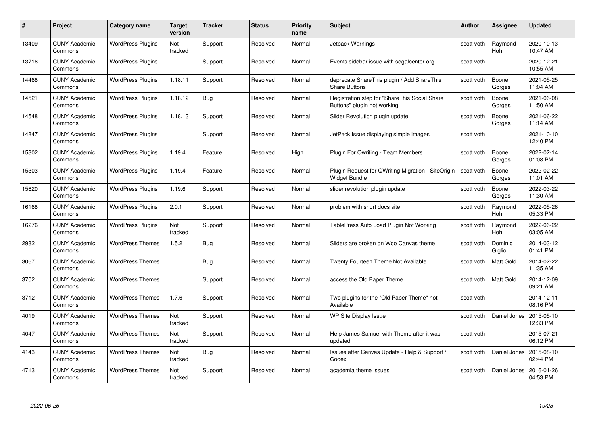| #     | Project                         | <b>Category name</b>     | Target<br>version | <b>Tracker</b> | <b>Status</b> | <b>Priority</b><br>name | <b>Subject</b>                                                               | <b>Author</b> | <b>Assignee</b>   | <b>Updated</b>         |
|-------|---------------------------------|--------------------------|-------------------|----------------|---------------|-------------------------|------------------------------------------------------------------------------|---------------|-------------------|------------------------|
| 13409 | <b>CUNY Academic</b><br>Commons | <b>WordPress Plugins</b> | Not<br>tracked    | Support        | Resolved      | Normal                  | <b>Jetpack Warnings</b>                                                      | scott voth    | Raymond<br>Hoh    | 2020-10-13<br>10:47 AM |
| 13716 | <b>CUNY Academic</b><br>Commons | <b>WordPress Plugins</b> |                   | Support        | Resolved      | Normal                  | Events sidebar issue with segalcenter.org                                    | scott voth    |                   | 2020-12-21<br>10:55 AM |
| 14468 | <b>CUNY Academic</b><br>Commons | <b>WordPress Plugins</b> | 1.18.11           | Support        | Resolved      | Normal                  | deprecate ShareThis plugin / Add ShareThis<br><b>Share Buttons</b>           | scott voth    | Boone<br>Gorges   | 2021-05-25<br>11:04 AM |
| 14521 | <b>CUNY Academic</b><br>Commons | <b>WordPress Plugins</b> | 1.18.12           | Bug            | Resolved      | Normal                  | Registration step for "ShareThis Social Share<br>Buttons" plugin not working | scott voth    | Boone<br>Gorges   | 2021-06-08<br>11:50 AM |
| 14548 | <b>CUNY Academic</b><br>Commons | <b>WordPress Plugins</b> | 1.18.13           | Support        | Resolved      | Normal                  | Slider Revolution plugin update                                              | scott voth    | Boone<br>Gorges   | 2021-06-22<br>11:14 AM |
| 14847 | <b>CUNY Academic</b><br>Commons | <b>WordPress Plugins</b> |                   | Support        | Resolved      | Normal                  | JetPack Issue displaying simple images                                       | scott voth    |                   | 2021-10-10<br>12:40 PM |
| 15302 | <b>CUNY Academic</b><br>Commons | <b>WordPress Plugins</b> | 1.19.4            | Feature        | Resolved      | High                    | Plugin For Qwriting - Team Members                                           | scott voth    | Boone<br>Gorges   | 2022-02-14<br>01:08 PM |
| 15303 | <b>CUNY Academic</b><br>Commons | <b>WordPress Plugins</b> | 1.19.4            | Feature        | Resolved      | Normal                  | Plugin Request for QWriting Migration - SiteOrigin<br><b>Widget Bundle</b>   | scott voth    | Boone<br>Gorges   | 2022-02-22<br>11:01 AM |
| 15620 | <b>CUNY Academic</b><br>Commons | <b>WordPress Plugins</b> | 1.19.6            | Support        | Resolved      | Normal                  | slider revolution plugin update                                              | scott voth    | Boone<br>Gorges   | 2022-03-22<br>11:30 AM |
| 16168 | <b>CUNY Academic</b><br>Commons | <b>WordPress Plugins</b> | 2.0.1             | Support        | Resolved      | Normal                  | problem with short docs site                                                 | scott voth    | Raymond<br>Hoh    | 2022-05-26<br>05:33 PM |
| 16276 | CUNY Academic<br>Commons        | <b>WordPress Plugins</b> | Not<br>tracked    | Support        | Resolved      | Normal                  | TablePress Auto Load Plugin Not Working                                      | scott voth    | Raymond<br>Hoh    | 2022-06-22<br>03:05 AM |
| 2982  | <b>CUNY Academic</b><br>Commons | <b>WordPress Themes</b>  | 1.5.21            | <b>Bug</b>     | Resolved      | Normal                  | Sliders are broken on Woo Canvas theme                                       | scott voth    | Dominic<br>Giglio | 2014-03-12<br>01:41 PM |
| 3067  | <b>CUNY Academic</b><br>Commons | <b>WordPress Themes</b>  |                   | Bug            | Resolved      | Normal                  | <b>Twenty Fourteen Theme Not Available</b>                                   | scott voth    | Matt Gold         | 2014-02-22<br>11:35 AM |
| 3702  | <b>CUNY Academic</b><br>Commons | <b>WordPress Themes</b>  |                   | Support        | Resolved      | Normal                  | access the Old Paper Theme                                                   | scott voth    | <b>Matt Gold</b>  | 2014-12-09<br>09:21 AM |
| 3712  | <b>CUNY Academic</b><br>Commons | <b>WordPress Themes</b>  | 1.7.6             | Support        | Resolved      | Normal                  | Two plugins for the "Old Paper Theme" not<br>Available                       | scott voth    |                   | 2014-12-11<br>08:16 PM |
| 4019  | <b>CUNY Academic</b><br>Commons | <b>WordPress Themes</b>  | Not<br>tracked    | Support        | Resolved      | Normal                  | WP Site Display Issue                                                        | scott voth    | Daniel Jones      | 2015-05-10<br>12:33 PM |
| 4047  | <b>CUNY Academic</b><br>Commons | <b>WordPress Themes</b>  | Not<br>tracked    | Support        | Resolved      | Normal                  | Help James Samuel with Theme after it was<br>updated                         | scott voth    |                   | 2015-07-21<br>06:12 PM |
| 4143  | <b>CUNY Academic</b><br>Commons | <b>WordPress Themes</b>  | Not<br>tracked    | <b>Bug</b>     | Resolved      | Normal                  | Issues after Canvas Update - Help & Support /<br>Codex                       | scott voth    | Daniel Jones      | 2015-08-10<br>02:44 PM |
| 4713  | CUNY Academic<br>Commons        | <b>WordPress Themes</b>  | Not<br>tracked    | Support        | Resolved      | Normal                  | academia theme issues                                                        | scott voth    | Daniel Jones      | 2016-01-26<br>04:53 PM |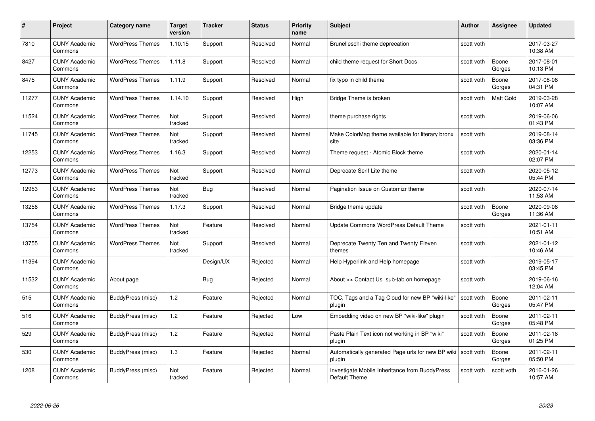| #     | Project                         | <b>Category name</b>    | Target<br>version | <b>Tracker</b> | <b>Status</b> | <b>Priority</b><br>name | <b>Subject</b>                                                  | <b>Author</b> | <b>Assignee</b>  | <b>Updated</b>         |
|-------|---------------------------------|-------------------------|-------------------|----------------|---------------|-------------------------|-----------------------------------------------------------------|---------------|------------------|------------------------|
| 7810  | <b>CUNY Academic</b><br>Commons | <b>WordPress Themes</b> | 1.10.15           | Support        | Resolved      | Normal                  | Brunelleschi theme deprecation                                  | scott voth    |                  | 2017-03-27<br>10:38 AM |
| 8427  | <b>CUNY Academic</b><br>Commons | <b>WordPress Themes</b> | 1.11.8            | Support        | Resolved      | Normal                  | child theme request for Short Docs                              | scott voth    | Boone<br>Gorges  | 2017-08-01<br>10:13 PM |
| 8475  | <b>CUNY Academic</b><br>Commons | <b>WordPress Themes</b> | 1.11.9            | Support        | Resolved      | Normal                  | fix typo in child theme                                         | scott voth    | Boone<br>Gorges  | 2017-08-08<br>04:31 PM |
| 11277 | <b>CUNY Academic</b><br>Commons | <b>WordPress Themes</b> | 1.14.10           | Support        | Resolved      | High                    | Bridge Theme is broken                                          | scott voth    | <b>Matt Gold</b> | 2019-03-28<br>10:07 AM |
| 11524 | <b>CUNY Academic</b><br>Commons | <b>WordPress Themes</b> | Not<br>tracked    | Support        | Resolved      | Normal                  | theme purchase rights                                           | scott voth    |                  | 2019-06-06<br>01:43 PM |
| 11745 | <b>CUNY Academic</b><br>Commons | <b>WordPress Themes</b> | Not<br>tracked    | Support        | Resolved      | Normal                  | Make ColorMag theme available for literary bronx<br>site        | scott voth    |                  | 2019-08-14<br>03:36 PM |
| 12253 | <b>CUNY Academic</b><br>Commons | <b>WordPress Themes</b> | 1.16.3            | Support        | Resolved      | Normal                  | Theme request - Atomic Block theme                              | scott voth    |                  | 2020-01-14<br>02:07 PM |
| 12773 | <b>CUNY Academic</b><br>Commons | <b>WordPress Themes</b> | Not<br>tracked    | Support        | Resolved      | Normal                  | Deprecate Serif Lite theme                                      | scott voth    |                  | 2020-05-12<br>05:44 PM |
| 12953 | <b>CUNY Academic</b><br>Commons | <b>WordPress Themes</b> | Not<br>tracked    | <b>Bug</b>     | Resolved      | Normal                  | Pagination Issue on Customizr theme                             | scott voth    |                  | 2020-07-14<br>11:53 AM |
| 13256 | <b>CUNY Academic</b><br>Commons | <b>WordPress Themes</b> | 1.17.3            | Support        | Resolved      | Normal                  | Bridge theme update                                             | scott voth    | Boone<br>Gorges  | 2020-09-08<br>11:36 AM |
| 13754 | <b>CUNY Academic</b><br>Commons | <b>WordPress Themes</b> | Not<br>tracked    | Feature        | Resolved      | Normal                  | Update Commons WordPress Default Theme                          | scott voth    |                  | 2021-01-11<br>10:51 AM |
| 13755 | <b>CUNY Academic</b><br>Commons | <b>WordPress Themes</b> | Not<br>tracked    | Support        | Resolved      | Normal                  | Deprecate Twenty Ten and Twenty Eleven<br>themes                | scott voth    |                  | 2021-01-12<br>10:46 AM |
| 11394 | <b>CUNY Academic</b><br>Commons |                         |                   | Design/UX      | Rejected      | Normal                  | Help Hyperlink and Help homepage                                | scott voth    |                  | 2019-05-17<br>03:45 PM |
| 11532 | <b>CUNY Academic</b><br>Commons | About page              |                   | Bug            | Rejected      | Normal                  | About >> Contact Us sub-tab on homepage                         | scott voth    |                  | 2019-06-16<br>12:04 AM |
| 515   | CUNY Academic<br>Commons        | BuddyPress (misc)       | 1.2               | Feature        | Rejected      | Normal                  | TOC, Tags and a Tag Cloud for new BP "wiki-like"<br>plugin      | scott voth    | Boone<br>Gorges  | 2011-02-11<br>05:47 PM |
| 516   | <b>CUNY Academic</b><br>Commons | BuddyPress (misc)       | 1.2               | Feature        | Rejected      | Low                     | Embedding video on new BP "wiki-like" plugin                    | scott voth    | Boone<br>Gorges  | 2011-02-11<br>05:48 PM |
| 529   | <b>CUNY Academic</b><br>Commons | BuddyPress (misc)       | 1.2               | Feature        | Rejected      | Normal                  | Paste Plain Text icon not working in BP "wiki"<br>plugin        | scott voth    | Boone<br>Gorges  | 2011-02-18<br>01:25 PM |
| 530   | <b>CUNY Academic</b><br>Commons | BuddyPress (misc)       | $1.3$             | Feature        | Rejected      | Normal                  | Automatically generated Page urls for new BP wiki<br>plugin     | scott voth    | Boone<br>Gorges  | 2011-02-11<br>05:50 PM |
| 1208  | CUNY Academic<br>Commons        | BuddyPress (misc)       | Not<br>tracked    | Feature        | Rejected      | Normal                  | Investigate Mobile Inheritance from BuddyPress<br>Default Theme | scott voth    | scott voth       | 2016-01-26<br>10:57 AM |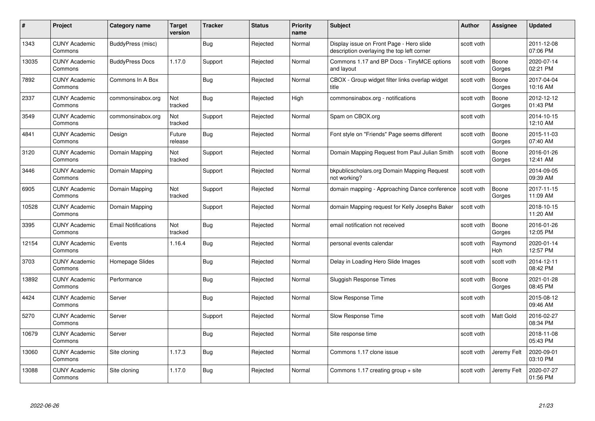| #     | Project                         | <b>Category name</b>       | <b>Target</b><br>version | <b>Tracker</b> | <b>Status</b> | <b>Priority</b><br>name | <b>Subject</b>                                                                         | <b>Author</b> | <b>Assignee</b> | <b>Updated</b>         |
|-------|---------------------------------|----------------------------|--------------------------|----------------|---------------|-------------------------|----------------------------------------------------------------------------------------|---------------|-----------------|------------------------|
| 1343  | <b>CUNY Academic</b><br>Commons | BuddyPress (misc)          |                          | Bug            | Rejected      | Normal                  | Display issue on Front Page - Hero slide<br>description overlaying the top left corner | scott voth    |                 | 2011-12-08<br>07:06 PM |
| 13035 | <b>CUNY Academic</b><br>Commons | <b>BuddyPress Docs</b>     | 1.17.0                   | Support        | Rejected      | Normal                  | Commons 1.17 and BP Docs - TinyMCE options<br>and layout                               | scott voth    | Boone<br>Gorges | 2020-07-14<br>02:21 PM |
| 7892  | <b>CUNY Academic</b><br>Commons | Commons In A Box           |                          | <b>Bug</b>     | Rejected      | Normal                  | CBOX - Group widget filter links overlap widget<br>title                               | scott voth    | Boone<br>Gorges | 2017-04-04<br>10:16 AM |
| 2337  | <b>CUNY Academic</b><br>Commons | commonsinabox.org          | Not<br>tracked           | Bug            | Rejected      | High                    | commonsinabox.org - notifications                                                      | scott voth    | Boone<br>Gorges | 2012-12-12<br>01:43 PM |
| 3549  | <b>CUNY Academic</b><br>Commons | commonsinabox.org          | Not<br>tracked           | Support        | Rejected      | Normal                  | Spam on CBOX.org                                                                       | scott voth    |                 | 2014-10-15<br>12:10 AM |
| 4841  | <b>CUNY Academic</b><br>Commons | Design                     | Future<br>release        | <b>Bug</b>     | Rejected      | Normal                  | Font style on "Friends" Page seems different                                           | scott voth    | Boone<br>Gorges | 2015-11-03<br>07:40 AM |
| 3120  | <b>CUNY Academic</b><br>Commons | Domain Mapping             | Not<br>tracked           | Support        | Rejected      | Normal                  | Domain Mapping Request from Paul Julian Smith                                          | scott voth    | Boone<br>Gorges | 2016-01-26<br>12:41 AM |
| 3446  | <b>CUNY Academic</b><br>Commons | Domain Mapping             |                          | Support        | Rejected      | Normal                  | bkpublicscholars.org Domain Mapping Request<br>not working?                            | scott voth    |                 | 2014-09-05<br>09:39 AM |
| 6905  | <b>CUNY Academic</b><br>Commons | Domain Mapping             | Not<br>tracked           | Support        | Rejected      | Normal                  | domain mapping - Approaching Dance conference                                          | scott voth    | Boone<br>Gorges | 2017-11-15<br>11:09 AM |
| 10528 | <b>CUNY Academic</b><br>Commons | Domain Mapping             |                          | Support        | Rejected      | Normal                  | domain Mapping request for Kelly Josephs Baker                                         | scott voth    |                 | 2018-10-15<br>11:20 AM |
| 3395  | CUNY Academic<br>Commons        | <b>Email Notifications</b> | Not<br>tracked           | <b>Bug</b>     | Rejected      | Normal                  | email notification not received                                                        | scott voth    | Boone<br>Gorges | 2016-01-26<br>12:05 PM |
| 12154 | <b>CUNY Academic</b><br>Commons | Events                     | 1.16.4                   | <b>Bug</b>     | Rejected      | Normal                  | personal events calendar                                                               | scott voth    | Raymond<br>Hoh  | 2020-01-14<br>12:57 PM |
| 3703  | <b>CUNY Academic</b><br>Commons | Homepage Slides            |                          | Bug            | Rejected      | Normal                  | Delay in Loading Hero Slide Images                                                     | scott voth    | scott voth      | 2014-12-11<br>08:42 PM |
| 13892 | <b>CUNY Academic</b><br>Commons | Performance                |                          | <b>Bug</b>     | Rejected      | Normal                  | Sluggish Response Times                                                                | scott voth    | Boone<br>Gorges | 2021-01-28<br>08:45 PM |
| 4424  | <b>CUNY Academic</b><br>Commons | Server                     |                          | Bug            | Rejected      | Normal                  | Slow Response Time                                                                     | scott voth    |                 | 2015-08-12<br>09:46 AM |
| 5270  | <b>CUNY Academic</b><br>Commons | Server                     |                          | Support        | Rejected      | Normal                  | Slow Response Time                                                                     | scott voth    | Matt Gold       | 2016-02-27<br>08:34 PM |
| 10679 | <b>CUNY Academic</b><br>Commons | Server                     |                          | Bug            | Rejected      | Normal                  | Site response time                                                                     | scott voth    |                 | 2018-11-08<br>05:43 PM |
| 13060 | <b>CUNY Academic</b><br>Commons | Site cloning               | 1.17.3                   | <b>Bug</b>     | Rejected      | Normal                  | Commons 1.17 clone issue                                                               | scott voth    | Jeremy Felt     | 2020-09-01<br>03:10 PM |
| 13088 | CUNY Academic<br>Commons        | Site cloning               | 1.17.0                   | Bug            | Rejected      | Normal                  | Commons 1.17 creating group + site                                                     | scott voth    | Jeremy Felt     | 2020-07-27<br>01:56 PM |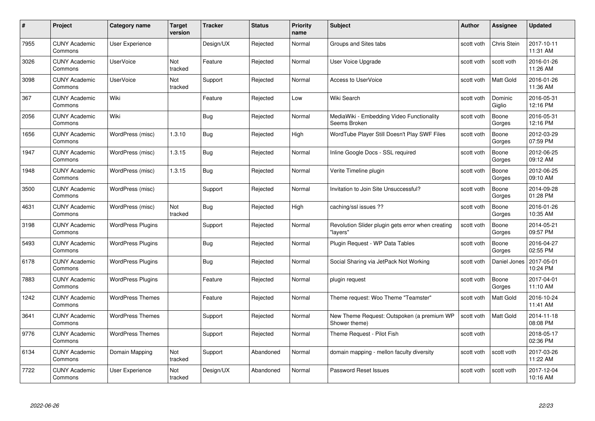| #    | Project                         | <b>Category name</b>     | <b>Target</b><br>version | <b>Tracker</b> | <b>Status</b> | <b>Priority</b><br>name | <b>Subject</b>                                                | <b>Author</b> | <b>Assignee</b>   | <b>Updated</b>         |
|------|---------------------------------|--------------------------|--------------------------|----------------|---------------|-------------------------|---------------------------------------------------------------|---------------|-------------------|------------------------|
| 7955 | <b>CUNY Academic</b><br>Commons | <b>User Experience</b>   |                          | Design/UX      | Rejected      | Normal                  | Groups and Sites tabs                                         | scott voth    | Chris Stein       | 2017-10-11<br>11:31 AM |
| 3026 | <b>CUNY Academic</b><br>Commons | <b>UserVoice</b>         | Not<br>tracked           | Feature        | Rejected      | Normal                  | User Voice Upgrade                                            | scott voth    | scott voth        | 2016-01-26<br>11:26 AM |
| 3098 | <b>CUNY Academic</b><br>Commons | <b>UserVoice</b>         | Not<br>tracked           | Support        | Rejected      | Normal                  | <b>Access to UserVoice</b>                                    | scott voth    | <b>Matt Gold</b>  | 2016-01-26<br>11:36 AM |
| 367  | <b>CUNY Academic</b><br>Commons | Wiki                     |                          | Feature        | Rejected      | Low                     | Wiki Search                                                   | scott voth    | Dominic<br>Giglio | 2016-05-31<br>12:16 PM |
| 2056 | <b>CUNY Academic</b><br>Commons | Wiki                     |                          | <b>Bug</b>     | Rejected      | Normal                  | MediaWiki - Embedding Video Functionality<br>Seems Broken     | scott voth    | Boone<br>Gorges   | 2016-05-31<br>12:16 PM |
| 1656 | <b>CUNY Academic</b><br>Commons | WordPress (misc)         | 1.3.10                   | Bug            | Rejected      | High                    | WordTube Player Still Doesn't Play SWF Files                  | scott voth    | Boone<br>Gorges   | 2012-03-29<br>07:59 PM |
| 1947 | <b>CUNY Academic</b><br>Commons | WordPress (misc)         | 1.3.15                   | <b>Bug</b>     | Rejected      | Normal                  | Inline Google Docs - SSL required                             | scott voth    | Boone<br>Gorges   | 2012-06-25<br>09:12 AM |
| 1948 | <b>CUNY Academic</b><br>Commons | WordPress (misc)         | 1.3.15                   | <b>Bug</b>     | Rejected      | Normal                  | Verite Timeline plugin                                        | scott voth    | Boone<br>Gorges   | 2012-06-25<br>09:10 AM |
| 3500 | <b>CUNY Academic</b><br>Commons | WordPress (misc)         |                          | Support        | Rejected      | Normal                  | Invitation to Join Site Unsuccessful?                         | scott voth    | Boone<br>Gorges   | 2014-09-28<br>01:28 PM |
| 4631 | <b>CUNY Academic</b><br>Commons | WordPress (misc)         | Not<br>tracked           | Bug            | Rejected      | High                    | caching/ssl issues ??                                         | scott voth    | Boone<br>Gorges   | 2016-01-26<br>10:35 AM |
| 3198 | <b>CUNY Academic</b><br>Commons | <b>WordPress Plugins</b> |                          | Support        | Rejected      | Normal                  | Revolution Slider plugin gets error when creating<br>"layers" | scott voth    | Boone<br>Gorges   | 2014-05-21<br>09:57 PM |
| 5493 | <b>CUNY Academic</b><br>Commons | <b>WordPress Plugins</b> |                          | Bug            | Rejected      | Normal                  | Plugin Request - WP Data Tables                               | scott voth    | Boone<br>Gorges   | 2016-04-27<br>02:55 PM |
| 6178 | <b>CUNY Academic</b><br>Commons | <b>WordPress Plugins</b> |                          | <b>Bug</b>     | Rejected      | Normal                  | Social Sharing via JetPack Not Working                        | scott voth    | Daniel Jones      | 2017-05-01<br>10:24 PM |
| 7883 | <b>CUNY Academic</b><br>Commons | <b>WordPress Plugins</b> |                          | Feature        | Rejected      | Normal                  | plugin request                                                | scott voth    | Boone<br>Gorges   | 2017-04-01<br>11:10 AM |
| 1242 | <b>CUNY Academic</b><br>Commons | <b>WordPress Themes</b>  |                          | Feature        | Rejected      | Normal                  | Theme request: Woo Theme "Teamster"                           | scott voth    | Matt Gold         | 2016-10-24<br>11:41 AM |
| 3641 | <b>CUNY Academic</b><br>Commons | <b>WordPress Themes</b>  |                          | Support        | Rejected      | Normal                  | New Theme Request: Outspoken (a premium WP<br>Shower theme)   | scott voth    | Matt Gold         | 2014-11-18<br>08:08 PM |
| 9776 | <b>CUNY Academic</b><br>Commons | <b>WordPress Themes</b>  |                          | Support        | Rejected      | Normal                  | Theme Request - Pilot Fish                                    | scott voth    |                   | 2018-05-17<br>02:36 PM |
| 6134 | <b>CUNY Academic</b><br>Commons | Domain Mapping           | Not<br>tracked           | Support        | Abandoned     | Normal                  | domain mapping - mellon faculty diversity                     | scott voth    | scott voth        | 2017-03-26<br>11:22 AM |
| 7722 | CUNY Academic<br>Commons        | User Experience          | Not<br>tracked           | Design/UX      | Abandoned     | Normal                  | <b>Password Reset Issues</b>                                  | scott voth    | scott voth        | 2017-12-04<br>10:16 AM |